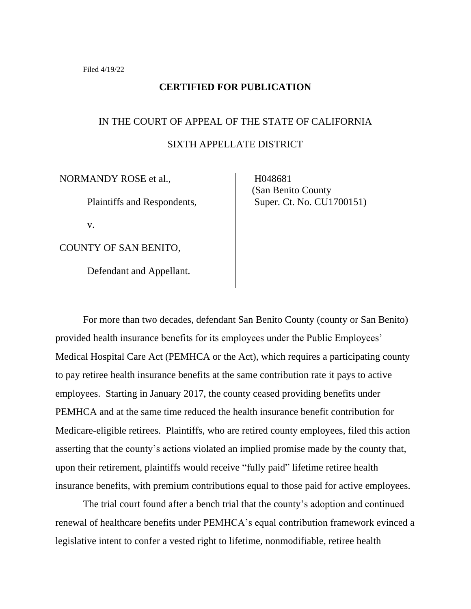#### **CERTIFIED FOR PUBLICATION**

# IN THE COURT OF APPEAL OF THE STATE OF CALIFORNIA SIXTH APPELLATE DISTRICT

NORMANDY ROSE et al.,

Plaintiffs and Respondents,

v.

COUNTY OF SAN BENITO,

Defendant and Appellant.

 H048681 (San Benito County Super. Ct. No. CU1700151)

For more than two decades, defendant San Benito County (county or San Benito) provided health insurance benefits for its employees under the Public Employees' Medical Hospital Care Act (PEMHCA or the Act), which requires a participating county to pay retiree health insurance benefits at the same contribution rate it pays to active employees. Starting in January 2017, the county ceased providing benefits under PEMHCA and at the same time reduced the health insurance benefit contribution for Medicare-eligible retirees. Plaintiffs, who are retired county employees, filed this action asserting that the county's actions violated an implied promise made by the county that, upon their retirement, plaintiffs would receive "fully paid" lifetime retiree health insurance benefits, with premium contributions equal to those paid for active employees.

The trial court found after a bench trial that the county's adoption and continued renewal of healthcare benefits under PEMHCA's equal contribution framework evinced a legislative intent to confer a vested right to lifetime, nonmodifiable, retiree health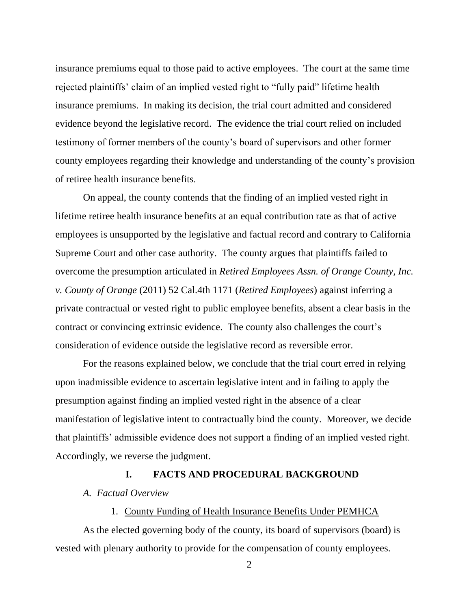insurance premiums equal to those paid to active employees. The court at the same time rejected plaintiffs' claim of an implied vested right to "fully paid" lifetime health insurance premiums. In making its decision, the trial court admitted and considered evidence beyond the legislative record. The evidence the trial court relied on included testimony of former members of the county's board of supervisors and other former county employees regarding their knowledge and understanding of the county's provision of retiree health insurance benefits.

On appeal, the county contends that the finding of an implied vested right in lifetime retiree health insurance benefits at an equal contribution rate as that of active employees is unsupported by the legislative and factual record and contrary to California Supreme Court and other case authority. The county argues that plaintiffs failed to overcome the presumption articulated in *Retired Employees Assn. of Orange County, Inc. v. County of Orange* (2011) 52 Cal.4th 1171 (*Retired Employees*) against inferring a private contractual or vested right to public employee benefits, absent a clear basis in the contract or convincing extrinsic evidence. The county also challenges the court's consideration of evidence outside the legislative record as reversible error.

For the reasons explained below, we conclude that the trial court erred in relying upon inadmissible evidence to ascertain legislative intent and in failing to apply the presumption against finding an implied vested right in the absence of a clear manifestation of legislative intent to contractually bind the county. Moreover, we decide that plaintiffs' admissible evidence does not support a finding of an implied vested right. Accordingly, we reverse the judgment.

#### **I. FACTS AND PROCEDURAL BACKGROUND**

*A. Factual Overview*

#### 1. County Funding of Health Insurance Benefits Under PEMHCA

As the elected governing body of the county, its board of supervisors (board) is vested with plenary authority to provide for the compensation of county employees.

 $\mathfrak{D}$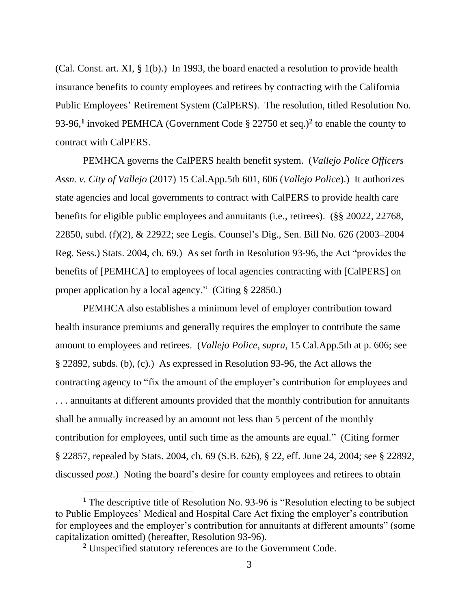(Cal. Const. art. XI, § 1(b).) In 1993, the board enacted a resolution to provide health insurance benefits to county employees and retirees by contracting with the California Public Employees' Retirement System (CalPERS). The resolution, titled Resolution No. 93-96,**<sup>1</sup>** invoked PEMHCA (Government Code § 22750 et seq.)**<sup>2</sup>** to enable the county to contract with CalPERS.

PEMHCA governs the CalPERS health benefit system. (*Vallejo Police Officers Assn. v. City of Vallejo* (2017) 15 Cal.App.5th 601, 606 (*Vallejo Police*).) It authorizes state agencies and local governments to contract with CalPERS to provide health care benefits for eligible public employees and annuitants (i.e., retirees). (§§ 20022, 22768, 22850, subd. (f)(2), & 22922; see Legis. Counsel's Dig., Sen. Bill No. 626 (2003–2004 Reg. Sess.) Stats. 2004, ch. 69.) As set forth in Resolution 93-96, the Act "provides the benefits of [PEMHCA] to employees of local agencies contracting with [CalPERS] on proper application by a local agency." (Citing § 22850.)

PEMHCA also establishes a minimum level of employer contribution toward health insurance premiums and generally requires the employer to contribute the same amount to employees and retirees. (*Vallejo Police*, *supra*, 15 Cal.App.5th at p. 606; see § 22892, subds. (b), (c).) As expressed in Resolution 93-96, the Act allows the contracting agency to "fix the amount of the employer's contribution for employees and . . . annuitants at different amounts provided that the monthly contribution for annuitants shall be annually increased by an amount not less than 5 percent of the monthly contribution for employees, until such time as the amounts are equal." (Citing former § 22857, repealed by Stats. 2004, ch. 69 (S.B. 626), § 22, eff. June 24, 2004; see § 22892, discussed *post*.) Noting the board's desire for county employees and retirees to obtain

**<sup>1</sup>** The descriptive title of Resolution No. 93-96 is "Resolution electing to be subject to Public Employees' Medical and Hospital Care Act fixing the employer's contribution for employees and the employer's contribution for annuitants at different amounts" (some capitalization omitted) (hereafter, Resolution 93-96).

**<sup>2</sup>** Unspecified statutory references are to the Government Code.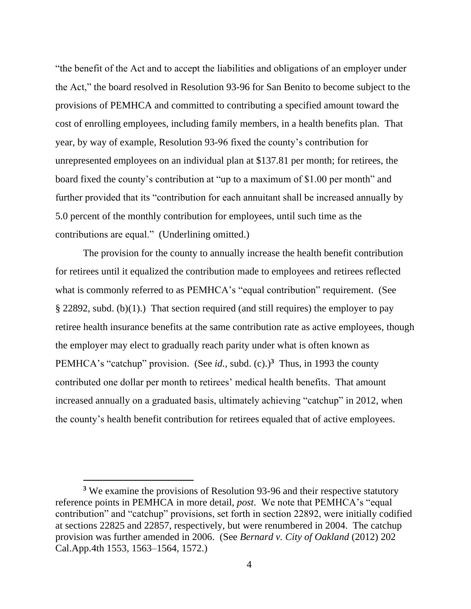"the benefit of the Act and to accept the liabilities and obligations of an employer under the Act," the board resolved in Resolution 93-96 for San Benito to become subject to the provisions of PEMHCA and committed to contributing a specified amount toward the cost of enrolling employees, including family members, in a health benefits plan. That year, by way of example, Resolution 93-96 fixed the county's contribution for unrepresented employees on an individual plan at \$137.81 per month; for retirees, the board fixed the county's contribution at "up to a maximum of \$1.00 per month" and further provided that its "contribution for each annuitant shall be increased annually by 5.0 percent of the monthly contribution for employees, until such time as the contributions are equal." (Underlining omitted.)

The provision for the county to annually increase the health benefit contribution for retirees until it equalized the contribution made to employees and retirees reflected what is commonly referred to as PEMHCA's "equal contribution" requirement. (See § 22892, subd. (b)(1).) That section required (and still requires) the employer to pay retiree health insurance benefits at the same contribution rate as active employees, though the employer may elect to gradually reach parity under what is often known as PEMHCA's "catchup" provision. (See *id.*, subd. (c).)<sup>3</sup> Thus, in 1993 the county contributed one dollar per month to retirees' medical health benefits. That amount increased annually on a graduated basis, ultimately achieving "catchup" in 2012, when the county's health benefit contribution for retirees equaled that of active employees.

**<sup>3</sup>** We examine the provisions of Resolution 93-96 and their respective statutory reference points in PEMHCA in more detail, *post*. We note that PEMHCA's "equal contribution" and "catchup" provisions, set forth in section 22892, were initially codified at sections 22825 and 22857, respectively, but were renumbered in 2004. The catchup provision was further amended in 2006. (See *Bernard v. City of Oakland* (2012) 202 Cal.App.4th 1553, 1563–1564, 1572.)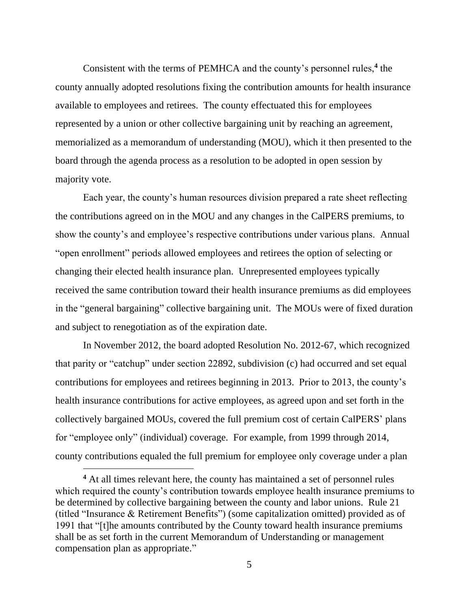Consistent with the terms of PEMHCA and the county's personnel rules,**<sup>4</sup>** the county annually adopted resolutions fixing the contribution amounts for health insurance available to employees and retirees. The county effectuated this for employees represented by a union or other collective bargaining unit by reaching an agreement, memorialized as a memorandum of understanding (MOU), which it then presented to the board through the agenda process as a resolution to be adopted in open session by majority vote.

Each year, the county's human resources division prepared a rate sheet reflecting the contributions agreed on in the MOU and any changes in the CalPERS premiums, to show the county's and employee's respective contributions under various plans. Annual "open enrollment" periods allowed employees and retirees the option of selecting or changing their elected health insurance plan. Unrepresented employees typically received the same contribution toward their health insurance premiums as did employees in the "general bargaining" collective bargaining unit. The MOUs were of fixed duration and subject to renegotiation as of the expiration date.

In November 2012, the board adopted Resolution No. 2012-67, which recognized that parity or "catchup" under section 22892, subdivision (c) had occurred and set equal contributions for employees and retirees beginning in 2013. Prior to 2013, the county's health insurance contributions for active employees, as agreed upon and set forth in the collectively bargained MOUs, covered the full premium cost of certain CalPERS' plans for "employee only" (individual) coverage. For example, from 1999 through 2014, county contributions equaled the full premium for employee only coverage under a plan

**<sup>4</sup>** At all times relevant here, the county has maintained a set of personnel rules which required the county's contribution towards employee health insurance premiums to be determined by collective bargaining between the county and labor unions. Rule 21 (titled "Insurance & Retirement Benefits") (some capitalization omitted) provided as of 1991 that "[t]he amounts contributed by the County toward health insurance premiums shall be as set forth in the current Memorandum of Understanding or management compensation plan as appropriate."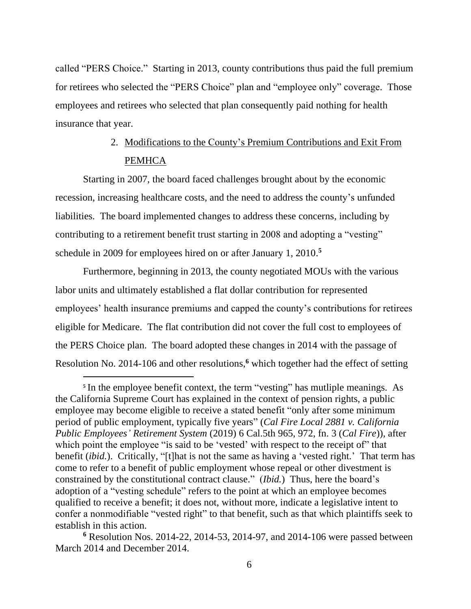called "PERS Choice." Starting in 2013, county contributions thus paid the full premium for retirees who selected the "PERS Choice" plan and "employee only" coverage. Those employees and retirees who selected that plan consequently paid nothing for health insurance that year.

## 2. Modifications to the County's Premium Contributions and Exit From **PEMHCA**

Starting in 2007, the board faced challenges brought about by the economic recession, increasing healthcare costs, and the need to address the county's unfunded liabilities. The board implemented changes to address these concerns, including by contributing to a retirement benefit trust starting in 2008 and adopting a "vesting" schedule in 2009 for employees hired on or after January 1, 2010. **5**

Furthermore, beginning in 2013, the county negotiated MOUs with the various labor units and ultimately established a flat dollar contribution for represented employees' health insurance premiums and capped the county's contributions for retirees eligible for Medicare. The flat contribution did not cover the full cost to employees of the PERS Choice plan. The board adopted these changes in 2014 with the passage of Resolution No. 2014-106 and other resolutions,**<sup>6</sup>** which together had the effect of setting

<sup>&</sup>lt;sup>5</sup> In the employee benefit context, the term "vesting" has mutliple meanings. As the California Supreme Court has explained in the context of pension rights, a public employee may become eligible to receive a stated benefit "only after some minimum period of public employment, typically five years" (*Cal Fire Local 2881 v. California Public Employees' Retirement System* (2019) 6 Cal.5th 965, 972, fn. 3 (*Cal Fire*)), after which point the employee "is said to be 'vested' with respect to the receipt of" that benefit (*ibid.*). Critically, "[t]hat is not the same as having a 'vested right.' That term has come to refer to a benefit of public employment whose repeal or other divestment is constrained by the constitutional contract clause." (*Ibid.*) Thus, here the board's adoption of a "vesting schedule" refers to the point at which an employee becomes qualified to receive a benefit; it does not, without more, indicate a legislative intent to confer a nonmodifiable "vested right" to that benefit, such as that which plaintiffs seek to establish in this action.

**<sup>6</sup>** Resolution Nos. 2014-22, 2014-53, 2014-97, and 2014-106 were passed between March 2014 and December 2014.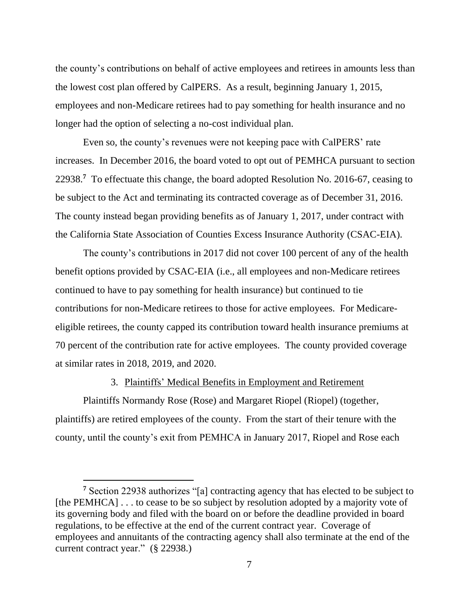the county's contributions on behalf of active employees and retirees in amounts less than the lowest cost plan offered by CalPERS. As a result, beginning January 1, 2015, employees and non-Medicare retirees had to pay something for health insurance and no longer had the option of selecting a no-cost individual plan.

Even so, the county's revenues were not keeping pace with CalPERS' rate increases. In December 2016, the board voted to opt out of PEMHCA pursuant to section 22938.**<sup>7</sup>** To effectuate this change, the board adopted Resolution No. 2016-67, ceasing to be subject to the Act and terminating its contracted coverage as of December 31, 2016. The county instead began providing benefits as of January 1, 2017, under contract with the California State Association of Counties Excess Insurance Authority (CSAC-EIA).

The county's contributions in 2017 did not cover 100 percent of any of the health benefit options provided by CSAC-EIA (i.e., all employees and non-Medicare retirees continued to have to pay something for health insurance) but continued to tie contributions for non-Medicare retirees to those for active employees. For Medicareeligible retirees, the county capped its contribution toward health insurance premiums at 70 percent of the contribution rate for active employees. The county provided coverage at similar rates in 2018, 2019, and 2020.

#### 3. Plaintiffs' Medical Benefits in Employment and Retirement

Plaintiffs Normandy Rose (Rose) and Margaret Riopel (Riopel) (together, plaintiffs) are retired employees of the county. From the start of their tenure with the county, until the county's exit from PEMHCA in January 2017, Riopel and Rose each

**<sup>7</sup>** Section 22938 authorizes "[a] contracting agency that has elected to be subject to [the PEMHCA] . . . to cease to be so subject by resolution adopted by a majority vote of its governing body and filed with the board on or before the deadline provided in board regulations, to be effective at the end of the current contract year. Coverage of employees and annuitants of the contracting agency shall also terminate at the end of the current contract year." (§ 22938.)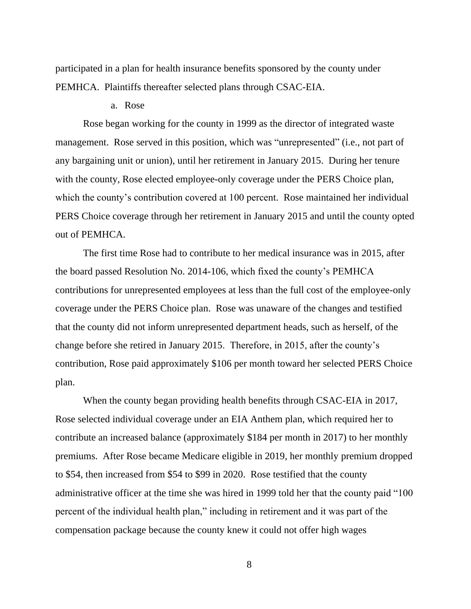participated in a plan for health insurance benefits sponsored by the county under PEMHCA. Plaintiffs thereafter selected plans through CSAC-EIA.

## a. Rose

Rose began working for the county in 1999 as the director of integrated waste management. Rose served in this position, which was "unrepresented" (i.e., not part of any bargaining unit or union), until her retirement in January 2015. During her tenure with the county, Rose elected employee-only coverage under the PERS Choice plan, which the county's contribution covered at 100 percent. Rose maintained her individual PERS Choice coverage through her retirement in January 2015 and until the county opted out of PEMHCA.

The first time Rose had to contribute to her medical insurance was in 2015, after the board passed Resolution No. 2014-106, which fixed the county's PEMHCA contributions for unrepresented employees at less than the full cost of the employee-only coverage under the PERS Choice plan. Rose was unaware of the changes and testified that the county did not inform unrepresented department heads, such as herself, of the change before she retired in January 2015. Therefore, in 2015, after the county's contribution, Rose paid approximately \$106 per month toward her selected PERS Choice plan.

When the county began providing health benefits through CSAC-EIA in 2017, Rose selected individual coverage under an EIA Anthem plan, which required her to contribute an increased balance (approximately \$184 per month in 2017) to her monthly premiums. After Rose became Medicare eligible in 2019, her monthly premium dropped to \$54, then increased from \$54 to \$99 in 2020. Rose testified that the county administrative officer at the time she was hired in 1999 told her that the county paid "100 percent of the individual health plan," including in retirement and it was part of the compensation package because the county knew it could not offer high wages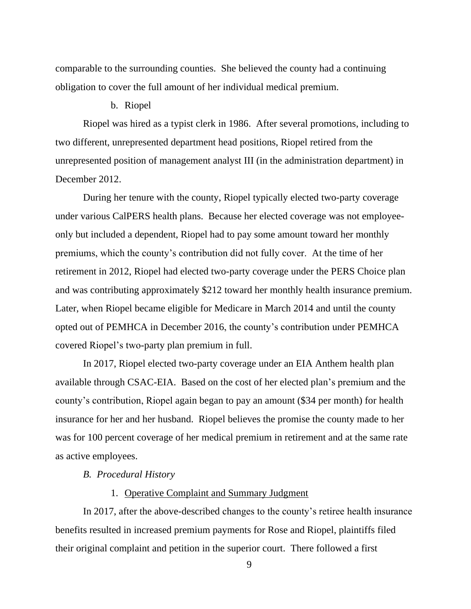comparable to the surrounding counties. She believed the county had a continuing obligation to cover the full amount of her individual medical premium.

#### b. Riopel

Riopel was hired as a typist clerk in 1986. After several promotions, including to two different, unrepresented department head positions, Riopel retired from the unrepresented position of management analyst III (in the administration department) in December 2012.

During her tenure with the county, Riopel typically elected two-party coverage under various CalPERS health plans. Because her elected coverage was not employeeonly but included a dependent, Riopel had to pay some amount toward her monthly premiums, which the county's contribution did not fully cover. At the time of her retirement in 2012, Riopel had elected two-party coverage under the PERS Choice plan and was contributing approximately \$212 toward her monthly health insurance premium. Later, when Riopel became eligible for Medicare in March 2014 and until the county opted out of PEMHCA in December 2016, the county's contribution under PEMHCA covered Riopel's two-party plan premium in full.

In 2017, Riopel elected two-party coverage under an EIA Anthem health plan available through CSAC-EIA. Based on the cost of her elected plan's premium and the county's contribution, Riopel again began to pay an amount (\$34 per month) for health insurance for her and her husband. Riopel believes the promise the county made to her was for 100 percent coverage of her medical premium in retirement and at the same rate as active employees.

#### *B. Procedural History*

## 1. Operative Complaint and Summary Judgment

In 2017, after the above-described changes to the county's retiree health insurance benefits resulted in increased premium payments for Rose and Riopel, plaintiffs filed their original complaint and petition in the superior court. There followed a first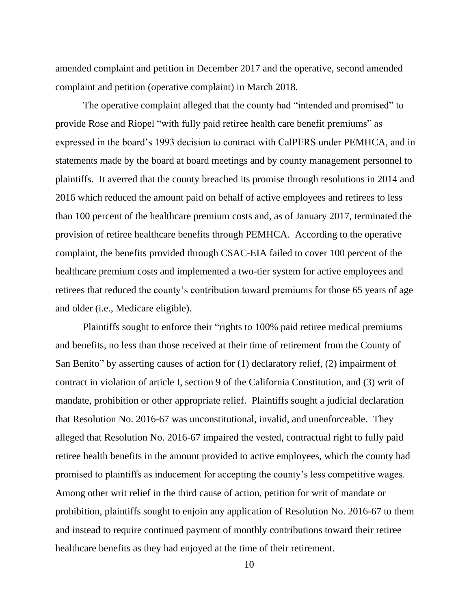amended complaint and petition in December 2017 and the operative, second amended complaint and petition (operative complaint) in March 2018.

The operative complaint alleged that the county had "intended and promised" to provide Rose and Riopel "with fully paid retiree health care benefit premiums" as expressed in the board's 1993 decision to contract with CalPERS under PEMHCA, and in statements made by the board at board meetings and by county management personnel to plaintiffs. It averred that the county breached its promise through resolutions in 2014 and 2016 which reduced the amount paid on behalf of active employees and retirees to less than 100 percent of the healthcare premium costs and, as of January 2017, terminated the provision of retiree healthcare benefits through PEMHCA. According to the operative complaint, the benefits provided through CSAC-EIA failed to cover 100 percent of the healthcare premium costs and implemented a two-tier system for active employees and retirees that reduced the county's contribution toward premiums for those 65 years of age and older (i.e., Medicare eligible).

Plaintiffs sought to enforce their "rights to 100% paid retiree medical premiums and benefits, no less than those received at their time of retirement from the County of San Benito" by asserting causes of action for (1) declaratory relief, (2) impairment of contract in violation of article I, section 9 of the California Constitution, and (3) writ of mandate, prohibition or other appropriate relief. Plaintiffs sought a judicial declaration that Resolution No. 2016-67 was unconstitutional, invalid, and unenforceable. They alleged that Resolution No. 2016-67 impaired the vested, contractual right to fully paid retiree health benefits in the amount provided to active employees, which the county had promised to plaintiffs as inducement for accepting the county's less competitive wages. Among other writ relief in the third cause of action, petition for writ of mandate or prohibition, plaintiffs sought to enjoin any application of Resolution No. 2016-67 to them and instead to require continued payment of monthly contributions toward their retiree healthcare benefits as they had enjoyed at the time of their retirement.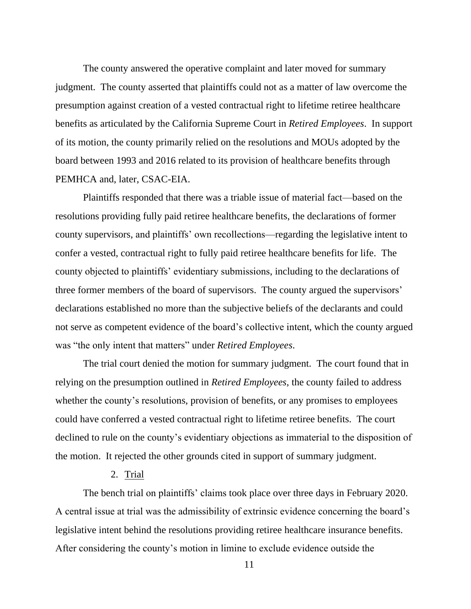The county answered the operative complaint and later moved for summary judgment. The county asserted that plaintiffs could not as a matter of law overcome the presumption against creation of a vested contractual right to lifetime retiree healthcare benefits as articulated by the California Supreme Court in *Retired Employees*. In support of its motion, the county primarily relied on the resolutions and MOUs adopted by the board between 1993 and 2016 related to its provision of healthcare benefits through PEMHCA and, later, CSAC-EIA.

Plaintiffs responded that there was a triable issue of material fact—based on the resolutions providing fully paid retiree healthcare benefits, the declarations of former county supervisors, and plaintiffs' own recollections—regarding the legislative intent to confer a vested, contractual right to fully paid retiree healthcare benefits for life. The county objected to plaintiffs' evidentiary submissions, including to the declarations of three former members of the board of supervisors. The county argued the supervisors' declarations established no more than the subjective beliefs of the declarants and could not serve as competent evidence of the board's collective intent, which the county argued was "the only intent that matters" under *Retired Employees*.

The trial court denied the motion for summary judgment. The court found that in relying on the presumption outlined in *Retired Employees*, the county failed to address whether the county's resolutions, provision of benefits, or any promises to employees could have conferred a vested contractual right to lifetime retiree benefits. The court declined to rule on the county's evidentiary objections as immaterial to the disposition of the motion. It rejected the other grounds cited in support of summary judgment.

## 2. Trial

The bench trial on plaintiffs' claims took place over three days in February 2020. A central issue at trial was the admissibility of extrinsic evidence concerning the board's legislative intent behind the resolutions providing retiree healthcare insurance benefits. After considering the county's motion in limine to exclude evidence outside the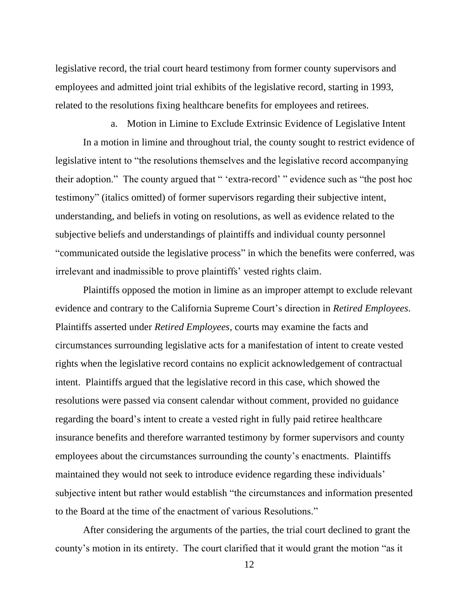legislative record, the trial court heard testimony from former county supervisors and employees and admitted joint trial exhibits of the legislative record, starting in 1993, related to the resolutions fixing healthcare benefits for employees and retirees.

a. Motion in Limine to Exclude Extrinsic Evidence of Legislative Intent

In a motion in limine and throughout trial, the county sought to restrict evidence of legislative intent to "the resolutions themselves and the legislative record accompanying their adoption." The county argued that " 'extra-record' " evidence such as "the post hoc testimony" (italics omitted) of former supervisors regarding their subjective intent, understanding, and beliefs in voting on resolutions, as well as evidence related to the subjective beliefs and understandings of plaintiffs and individual county personnel "communicated outside the legislative process" in which the benefits were conferred, was irrelevant and inadmissible to prove plaintiffs' vested rights claim.

Plaintiffs opposed the motion in limine as an improper attempt to exclude relevant evidence and contrary to the California Supreme Court's direction in *Retired Employees*. Plaintiffs asserted under *Retired Employees*, courts may examine the facts and circumstances surrounding legislative acts for a manifestation of intent to create vested rights when the legislative record contains no explicit acknowledgement of contractual intent. Plaintiffs argued that the legislative record in this case, which showed the resolutions were passed via consent calendar without comment, provided no guidance regarding the board's intent to create a vested right in fully paid retiree healthcare insurance benefits and therefore warranted testimony by former supervisors and county employees about the circumstances surrounding the county's enactments. Plaintiffs maintained they would not seek to introduce evidence regarding these individuals' subjective intent but rather would establish "the circumstances and information presented to the Board at the time of the enactment of various Resolutions."

After considering the arguments of the parties, the trial court declined to grant the county's motion in its entirety. The court clarified that it would grant the motion "as it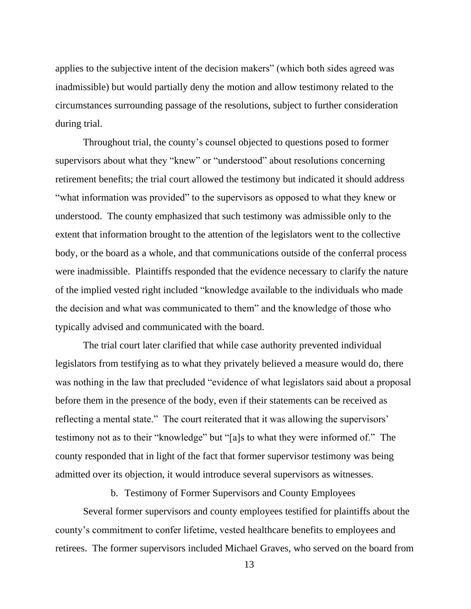applies to the subjective intent of the decision makers" (which both sides agreed was inadmissible) but would partially deny the motion and allow testimony related to the circumstances surrounding passage of the resolutions, subject to further consideration during trial.

Throughout trial, the county's counsel objected to questions posed to former supervisors about what they "knew" or "understood" about resolutions concerning retirement benefits; the trial court allowed the testimony but indicated it should address "what information was provided" to the supervisors as opposed to what they knew or understood. The county emphasized that such testimony was admissible only to the extent that information brought to the attention of the legislators went to the collective body, or the board as a whole, and that communications outside of the conferral process were inadmissible. Plaintiffs responded that the evidence necessary to clarify the nature of the implied vested right included "knowledge available to the individuals who made the decision and what was communicated to them" and the knowledge of those who typically advised and communicated with the board.

The trial court later clarified that while case authority prevented individual legislators from testifying as to what they privately believed a measure would do, there was nothing in the law that precluded "evidence of what legislators said about a proposal before them in the presence of the body, even if their statements can be received as reflecting a mental state." The court reiterated that it was allowing the supervisors' testimony not as to their "knowledge" but "[a]s to what they were informed of." The county responded that in light of the fact that former supervisor testimony was being admitted over its objection, it would introduce several supervisors as witnesses.

b. Testimony of Former Supervisors and County Employees

Several former supervisors and county employees testified for plaintiffs about the county's commitment to confer lifetime, vested healthcare benefits to employees and retirees. The former supervisors included Michael Graves, who served on the board from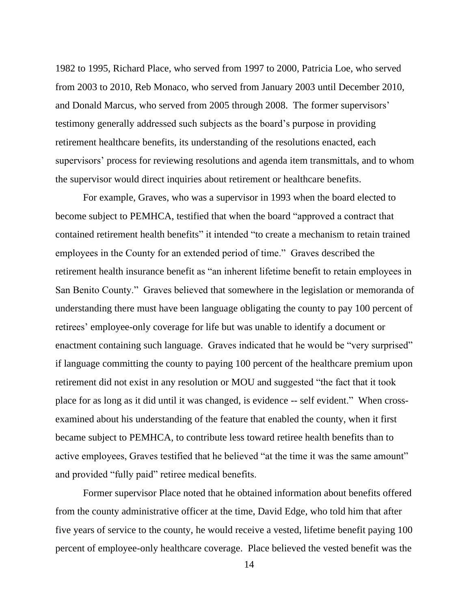1982 to 1995, Richard Place, who served from 1997 to 2000, Patricia Loe, who served from 2003 to 2010, Reb Monaco, who served from January 2003 until December 2010, and Donald Marcus, who served from 2005 through 2008. The former supervisors' testimony generally addressed such subjects as the board's purpose in providing retirement healthcare benefits, its understanding of the resolutions enacted, each supervisors' process for reviewing resolutions and agenda item transmittals, and to whom the supervisor would direct inquiries about retirement or healthcare benefits.

For example, Graves, who was a supervisor in 1993 when the board elected to become subject to PEMHCA, testified that when the board "approved a contract that contained retirement health benefits" it intended "to create a mechanism to retain trained employees in the County for an extended period of time." Graves described the retirement health insurance benefit as "an inherent lifetime benefit to retain employees in San Benito County." Graves believed that somewhere in the legislation or memoranda of understanding there must have been language obligating the county to pay 100 percent of retirees' employee-only coverage for life but was unable to identify a document or enactment containing such language. Graves indicated that he would be "very surprised" if language committing the county to paying 100 percent of the healthcare premium upon retirement did not exist in any resolution or MOU and suggested "the fact that it took place for as long as it did until it was changed, is evidence -- self evident." When crossexamined about his understanding of the feature that enabled the county, when it first became subject to PEMHCA, to contribute less toward retiree health benefits than to active employees, Graves testified that he believed "at the time it was the same amount" and provided "fully paid" retiree medical benefits.

Former supervisor Place noted that he obtained information about benefits offered from the county administrative officer at the time, David Edge, who told him that after five years of service to the county, he would receive a vested, lifetime benefit paying 100 percent of employee-only healthcare coverage. Place believed the vested benefit was the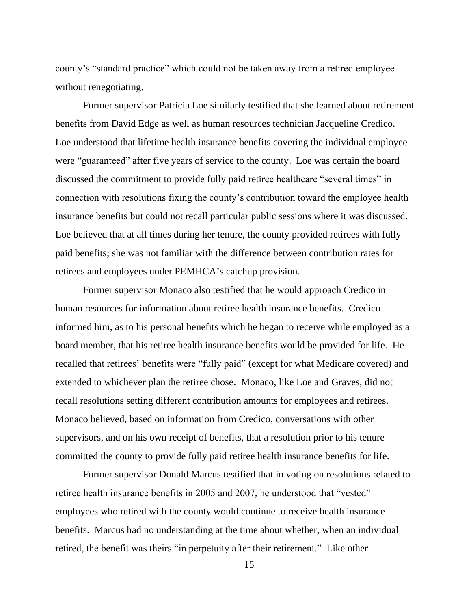county's "standard practice" which could not be taken away from a retired employee without renegotiating.

Former supervisor Patricia Loe similarly testified that she learned about retirement benefits from David Edge as well as human resources technician Jacqueline Credico. Loe understood that lifetime health insurance benefits covering the individual employee were "guaranteed" after five years of service to the county. Loe was certain the board discussed the commitment to provide fully paid retiree healthcare "several times" in connection with resolutions fixing the county's contribution toward the employee health insurance benefits but could not recall particular public sessions where it was discussed. Loe believed that at all times during her tenure, the county provided retirees with fully paid benefits; she was not familiar with the difference between contribution rates for retirees and employees under PEMHCA's catchup provision.

Former supervisor Monaco also testified that he would approach Credico in human resources for information about retiree health insurance benefits. Credico informed him, as to his personal benefits which he began to receive while employed as a board member, that his retiree health insurance benefits would be provided for life. He recalled that retirees' benefits were "fully paid" (except for what Medicare covered) and extended to whichever plan the retiree chose. Monaco, like Loe and Graves, did not recall resolutions setting different contribution amounts for employees and retirees. Monaco believed, based on information from Credico, conversations with other supervisors, and on his own receipt of benefits, that a resolution prior to his tenure committed the county to provide fully paid retiree health insurance benefits for life.

Former supervisor Donald Marcus testified that in voting on resolutions related to retiree health insurance benefits in 2005 and 2007, he understood that "vested" employees who retired with the county would continue to receive health insurance benefits. Marcus had no understanding at the time about whether, when an individual retired, the benefit was theirs "in perpetuity after their retirement." Like other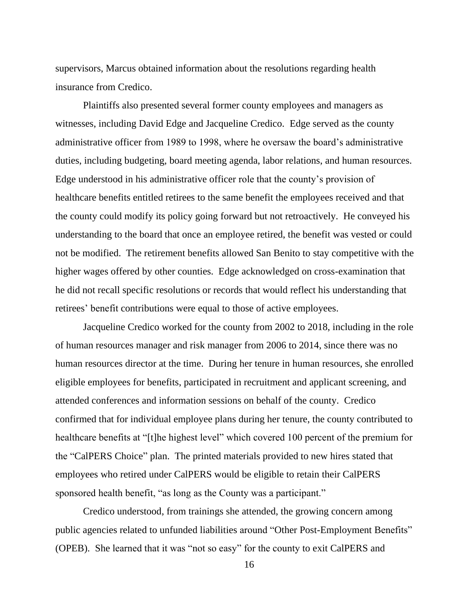supervisors, Marcus obtained information about the resolutions regarding health insurance from Credico.

Plaintiffs also presented several former county employees and managers as witnesses, including David Edge and Jacqueline Credico. Edge served as the county administrative officer from 1989 to 1998, where he oversaw the board's administrative duties, including budgeting, board meeting agenda, labor relations, and human resources. Edge understood in his administrative officer role that the county's provision of healthcare benefits entitled retirees to the same benefit the employees received and that the county could modify its policy going forward but not retroactively. He conveyed his understanding to the board that once an employee retired, the benefit was vested or could not be modified. The retirement benefits allowed San Benito to stay competitive with the higher wages offered by other counties. Edge acknowledged on cross-examination that he did not recall specific resolutions or records that would reflect his understanding that retirees' benefit contributions were equal to those of active employees.

Jacqueline Credico worked for the county from 2002 to 2018, including in the role of human resources manager and risk manager from 2006 to 2014, since there was no human resources director at the time. During her tenure in human resources, she enrolled eligible employees for benefits, participated in recruitment and applicant screening, and attended conferences and information sessions on behalf of the county. Credico confirmed that for individual employee plans during her tenure, the county contributed to healthcare benefits at "[t]he highest level" which covered 100 percent of the premium for the "CalPERS Choice" plan. The printed materials provided to new hires stated that employees who retired under CalPERS would be eligible to retain their CalPERS sponsored health benefit, "as long as the County was a participant."

Credico understood, from trainings she attended, the growing concern among public agencies related to unfunded liabilities around "Other Post-Employment Benefits" (OPEB). She learned that it was "not so easy" for the county to exit CalPERS and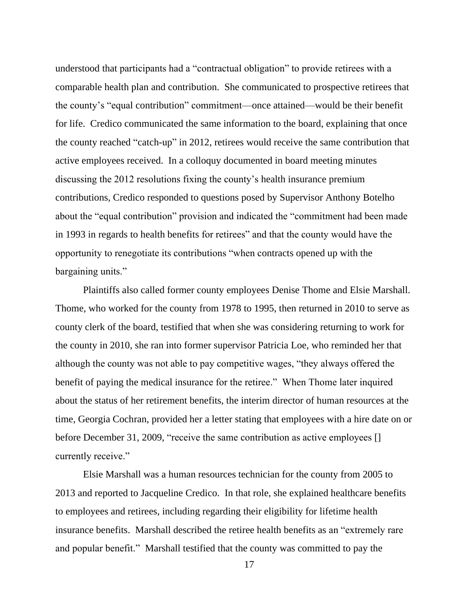understood that participants had a "contractual obligation" to provide retirees with a comparable health plan and contribution. She communicated to prospective retirees that the county's "equal contribution" commitment—once attained—would be their benefit for life. Credico communicated the same information to the board, explaining that once the county reached "catch-up" in 2012, retirees would receive the same contribution that active employees received. In a colloquy documented in board meeting minutes discussing the 2012 resolutions fixing the county's health insurance premium contributions, Credico responded to questions posed by Supervisor Anthony Botelho about the "equal contribution" provision and indicated the "commitment had been made in 1993 in regards to health benefits for retirees" and that the county would have the opportunity to renegotiate its contributions "when contracts opened up with the bargaining units."

Plaintiffs also called former county employees Denise Thome and Elsie Marshall. Thome, who worked for the county from 1978 to 1995, then returned in 2010 to serve as county clerk of the board, testified that when she was considering returning to work for the county in 2010, she ran into former supervisor Patricia Loe, who reminded her that although the county was not able to pay competitive wages, "they always offered the benefit of paying the medical insurance for the retiree." When Thome later inquired about the status of her retirement benefits, the interim director of human resources at the time, Georgia Cochran, provided her a letter stating that employees with a hire date on or before December 31, 2009, "receive the same contribution as active employees [] currently receive."

Elsie Marshall was a human resources technician for the county from 2005 to 2013 and reported to Jacqueline Credico. In that role, she explained healthcare benefits to employees and retirees, including regarding their eligibility for lifetime health insurance benefits. Marshall described the retiree health benefits as an "extremely rare and popular benefit." Marshall testified that the county was committed to pay the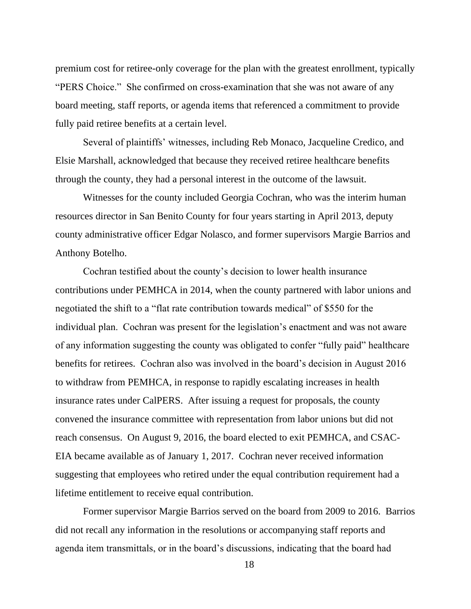premium cost for retiree-only coverage for the plan with the greatest enrollment, typically "PERS Choice." She confirmed on cross-examination that she was not aware of any board meeting, staff reports, or agenda items that referenced a commitment to provide fully paid retiree benefits at a certain level.

Several of plaintiffs' witnesses, including Reb Monaco, Jacqueline Credico, and Elsie Marshall, acknowledged that because they received retiree healthcare benefits through the county, they had a personal interest in the outcome of the lawsuit.

Witnesses for the county included Georgia Cochran, who was the interim human resources director in San Benito County for four years starting in April 2013, deputy county administrative officer Edgar Nolasco, and former supervisors Margie Barrios and Anthony Botelho.

Cochran testified about the county's decision to lower health insurance contributions under PEMHCA in 2014, when the county partnered with labor unions and negotiated the shift to a "flat rate contribution towards medical" of \$550 for the individual plan. Cochran was present for the legislation's enactment and was not aware of any information suggesting the county was obligated to confer "fully paid" healthcare benefits for retirees. Cochran also was involved in the board's decision in August 2016 to withdraw from PEMHCA, in response to rapidly escalating increases in health insurance rates under CalPERS. After issuing a request for proposals, the county convened the insurance committee with representation from labor unions but did not reach consensus. On August 9, 2016, the board elected to exit PEMHCA, and CSAC-EIA became available as of January 1, 2017. Cochran never received information suggesting that employees who retired under the equal contribution requirement had a lifetime entitlement to receive equal contribution.

Former supervisor Margie Barrios served on the board from 2009 to 2016. Barrios did not recall any information in the resolutions or accompanying staff reports and agenda item transmittals, or in the board's discussions, indicating that the board had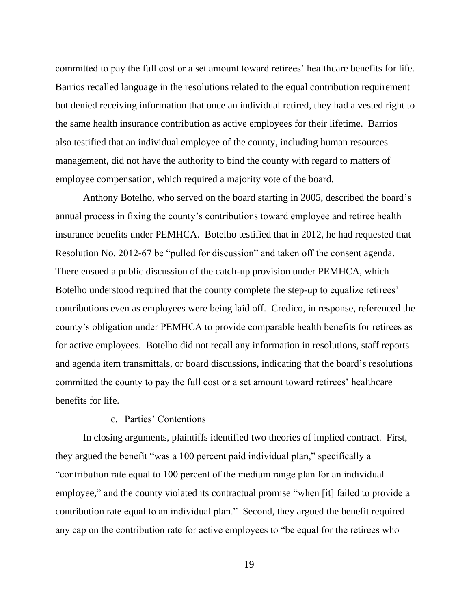committed to pay the full cost or a set amount toward retirees' healthcare benefits for life. Barrios recalled language in the resolutions related to the equal contribution requirement but denied receiving information that once an individual retired, they had a vested right to the same health insurance contribution as active employees for their lifetime. Barrios also testified that an individual employee of the county, including human resources management, did not have the authority to bind the county with regard to matters of employee compensation, which required a majority vote of the board.

Anthony Botelho, who served on the board starting in 2005, described the board's annual process in fixing the county's contributions toward employee and retiree health insurance benefits under PEMHCA. Botelho testified that in 2012, he had requested that Resolution No. 2012-67 be "pulled for discussion" and taken off the consent agenda. There ensued a public discussion of the catch-up provision under PEMHCA, which Botelho understood required that the county complete the step-up to equalize retirees' contributions even as employees were being laid off. Credico, in response, referenced the county's obligation under PEMHCA to provide comparable health benefits for retirees as for active employees. Botelho did not recall any information in resolutions, staff reports and agenda item transmittals, or board discussions, indicating that the board's resolutions committed the county to pay the full cost or a set amount toward retirees' healthcare benefits for life.

#### c. Parties' Contentions

In closing arguments, plaintiffs identified two theories of implied contract. First, they argued the benefit "was a 100 percent paid individual plan," specifically a "contribution rate equal to 100 percent of the medium range plan for an individual employee," and the county violated its contractual promise "when [it] failed to provide a contribution rate equal to an individual plan." Second, they argued the benefit required any cap on the contribution rate for active employees to "be equal for the retirees who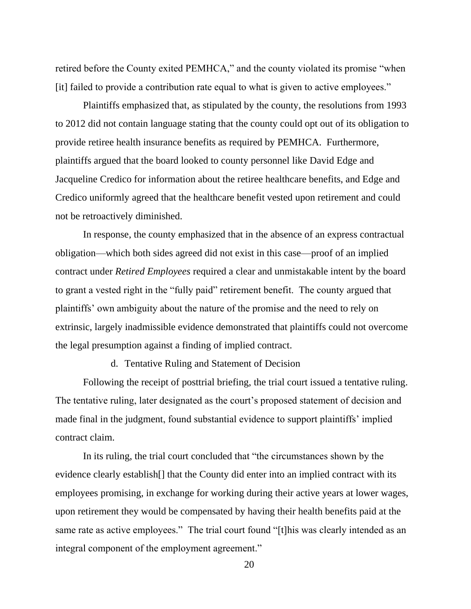retired before the County exited PEMHCA," and the county violated its promise "when [it] failed to provide a contribution rate equal to what is given to active employees."

Plaintiffs emphasized that, as stipulated by the county, the resolutions from 1993 to 2012 did not contain language stating that the county could opt out of its obligation to provide retiree health insurance benefits as required by PEMHCA. Furthermore, plaintiffs argued that the board looked to county personnel like David Edge and Jacqueline Credico for information about the retiree healthcare benefits, and Edge and Credico uniformly agreed that the healthcare benefit vested upon retirement and could not be retroactively diminished.

In response, the county emphasized that in the absence of an express contractual obligation—which both sides agreed did not exist in this case—proof of an implied contract under *Retired Employees* required a clear and unmistakable intent by the board to grant a vested right in the "fully paid" retirement benefit. The county argued that plaintiffs' own ambiguity about the nature of the promise and the need to rely on extrinsic, largely inadmissible evidence demonstrated that plaintiffs could not overcome the legal presumption against a finding of implied contract.

d. Tentative Ruling and Statement of Decision

Following the receipt of posttrial briefing, the trial court issued a tentative ruling. The tentative ruling, later designated as the court's proposed statement of decision and made final in the judgment, found substantial evidence to support plaintiffs' implied contract claim.

In its ruling, the trial court concluded that "the circumstances shown by the evidence clearly establish[] that the County did enter into an implied contract with its employees promising, in exchange for working during their active years at lower wages, upon retirement they would be compensated by having their health benefits paid at the same rate as active employees." The trial court found "[t]his was clearly intended as an integral component of the employment agreement."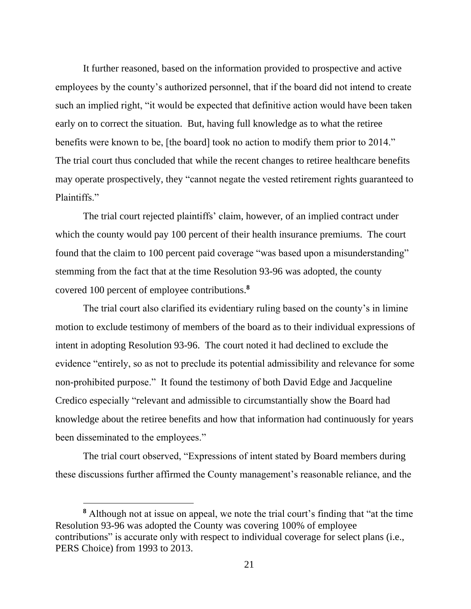It further reasoned, based on the information provided to prospective and active employees by the county's authorized personnel, that if the board did not intend to create such an implied right, "it would be expected that definitive action would have been taken early on to correct the situation. But, having full knowledge as to what the retiree benefits were known to be, [the board] took no action to modify them prior to 2014." The trial court thus concluded that while the recent changes to retiree healthcare benefits may operate prospectively, they "cannot negate the vested retirement rights guaranteed to Plaintiffs."

The trial court rejected plaintiffs' claim, however, of an implied contract under which the county would pay 100 percent of their health insurance premiums. The court found that the claim to 100 percent paid coverage "was based upon a misunderstanding" stemming from the fact that at the time Resolution 93-96 was adopted, the county covered 100 percent of employee contributions.**<sup>8</sup>**

The trial court also clarified its evidentiary ruling based on the county's in limine motion to exclude testimony of members of the board as to their individual expressions of intent in adopting Resolution 93-96. The court noted it had declined to exclude the evidence "entirely, so as not to preclude its potential admissibility and relevance for some non-prohibited purpose." It found the testimony of both David Edge and Jacqueline Credico especially "relevant and admissible to circumstantially show the Board had knowledge about the retiree benefits and how that information had continuously for years been disseminated to the employees."

The trial court observed, "Expressions of intent stated by Board members during these discussions further affirmed the County management's reasonable reliance, and the

**<sup>8</sup>** Although not at issue on appeal, we note the trial court's finding that "at the time Resolution 93-96 was adopted the County was covering 100% of employee contributions" is accurate only with respect to individual coverage for select plans (i.e., PERS Choice) from 1993 to 2013.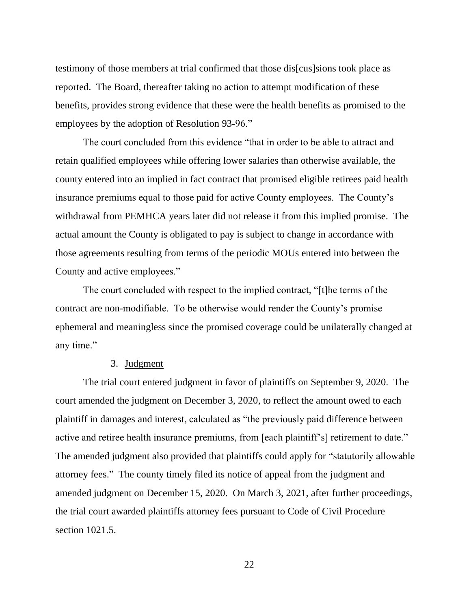testimony of those members at trial confirmed that those dis[cus]sions took place as reported. The Board, thereafter taking no action to attempt modification of these benefits, provides strong evidence that these were the health benefits as promised to the employees by the adoption of Resolution 93-96."

The court concluded from this evidence "that in order to be able to attract and retain qualified employees while offering lower salaries than otherwise available, the county entered into an implied in fact contract that promised eligible retirees paid health insurance premiums equal to those paid for active County employees. The County's withdrawal from PEMHCA years later did not release it from this implied promise. The actual amount the County is obligated to pay is subject to change in accordance with those agreements resulting from terms of the periodic MOUs entered into between the County and active employees."

The court concluded with respect to the implied contract, "[t]he terms of the contract are non-modifiable. To be otherwise would render the County's promise ephemeral and meaningless since the promised coverage could be unilaterally changed at any time."

#### 3. Judgment

The trial court entered judgment in favor of plaintiffs on September 9, 2020. The court amended the judgment on December 3, 2020, to reflect the amount owed to each plaintiff in damages and interest, calculated as "the previously paid difference between active and retiree health insurance premiums, from [each plaintiff's] retirement to date." The amended judgment also provided that plaintiffs could apply for "statutorily allowable attorney fees." The county timely filed its notice of appeal from the judgment and amended judgment on December 15, 2020. On March 3, 2021, after further proceedings, the trial court awarded plaintiffs attorney fees pursuant to Code of Civil Procedure section 1021.5.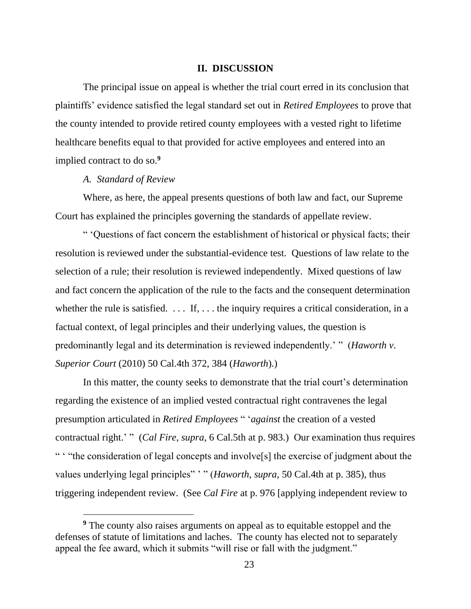#### **II. DISCUSSION**

The principal issue on appeal is whether the trial court erred in its conclusion that plaintiffs' evidence satisfied the legal standard set out in *Retired Employees* to prove that the county intended to provide retired county employees with a vested right to lifetime healthcare benefits equal to that provided for active employees and entered into an implied contract to do so. **9**

#### *A. Standard of Review*

Where, as here, the appeal presents questions of both law and fact, our Supreme Court has explained the principles governing the standards of appellate review.

" 'Questions of fact concern the establishment of historical or physical facts; their resolution is reviewed under the substantial-evidence test. Questions of law relate to the selection of a rule; their resolution is reviewed independently. Mixed questions of law and fact concern the application of the rule to the facts and the consequent determination whether the rule is satisfied.  $\dots$  If,  $\dots$  the inquiry requires a critical consideration, in a factual context, of legal principles and their underlying values, the question is predominantly legal and its determination is reviewed independently.' " (*Haworth v*. *Superior Court* (2010) 50 Cal.4th 372, 384 (*Haworth*).)

In this matter, the county seeks to demonstrate that the trial court's determination regarding the existence of an implied vested contractual right contravenes the legal presumption articulated in *Retired Employees* " '*against* the creation of a vested contractual right.' " (*Cal Fire*, *supra*, 6 Cal.5th at p. 983.) Our examination thus requires " ' "the consideration of legal concepts and involve[s] the exercise of judgment about the values underlying legal principles" ' " (*Haworth*, *supra*, 50 Cal.4th at p. 385), thus triggering independent review. (See *Cal Fire* at p. 976 [applying independent review to

**<sup>9</sup>** The county also raises arguments on appeal as to equitable estoppel and the defenses of statute of limitations and laches. The county has elected not to separately appeal the fee award, which it submits "will rise or fall with the judgment."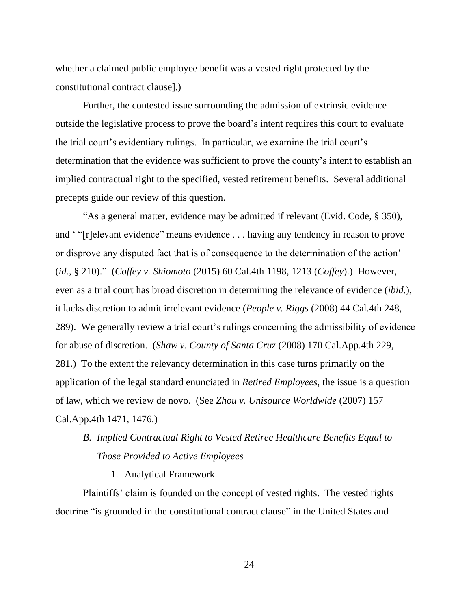whether a claimed public employee benefit was a vested right protected by the constitutional contract clause].)

Further, the contested issue surrounding the admission of extrinsic evidence outside the legislative process to prove the board's intent requires this court to evaluate the trial court's evidentiary rulings. In particular, we examine the trial court's determination that the evidence was sufficient to prove the county's intent to establish an implied contractual right to the specified, vested retirement benefits. Several additional precepts guide our review of this question.

"As a general matter, evidence may be admitted if relevant (Evid. Code, § 350), and ' "[r]elevant evidence" means evidence . . . having any tendency in reason to prove or disprove any disputed fact that is of consequence to the determination of the action' (*id.*, § 210)." (*Coffey v. Shiomoto* (2015) 60 Cal.4th 1198, 1213 (*Coffey*).) However, even as a trial court has broad discretion in determining the relevance of evidence (*ibid.*), it lacks discretion to admit irrelevant evidence (*People v. Riggs* (2008) 44 Cal.4th 248, 289). We generally review a trial court's rulings concerning the admissibility of evidence for abuse of discretion. (*Shaw v*. *County of Santa Cruz* (2008) 170 Cal.App.4th 229, 281.) To the extent the relevancy determination in this case turns primarily on the application of the legal standard enunciated in *Retired Employees*, the issue is a question of law, which we review de novo. (See *Zhou v. Unisource Worldwide* (2007) 157 Cal.App.4th 1471, 1476.)

## *B. Implied Contractual Right to Vested Retiree Healthcare Benefits Equal to Those Provided to Active Employees*

1. Analytical Framework

Plaintiffs' claim is founded on the concept of vested rights. The vested rights doctrine "is grounded in the constitutional contract clause" in the United States and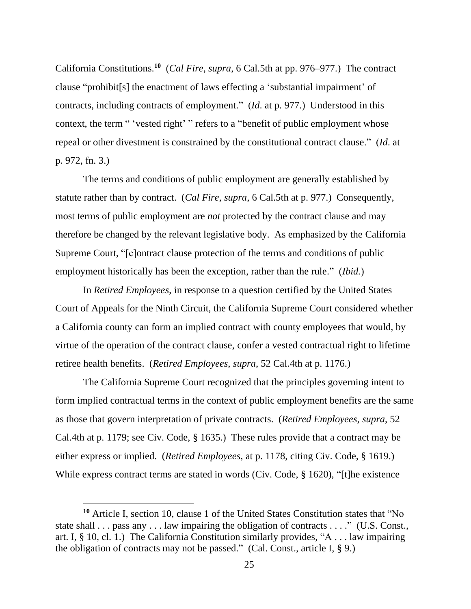California Constitutions.**<sup>10</sup>** (*Cal Fire*, *supra*, 6 Cal.5th at pp. 976–977.) The contract clause "prohibit[s] the enactment of laws effecting a 'substantial impairment' of contracts, including contracts of employment." (*Id*. at p. 977.) Understood in this context, the term " 'vested right' " refers to a "benefit of public employment whose repeal or other divestment is constrained by the constitutional contract clause." (*Id*. at p. 972, fn. 3.)

The terms and conditions of public employment are generally established by statute rather than by contract. (*Cal Fire*, *supra*, 6 Cal.5th at p. 977.) Consequently, most terms of public employment are *not* protected by the contract clause and may therefore be changed by the relevant legislative body. As emphasized by the California Supreme Court, "[c]ontract clause protection of the terms and conditions of public employment historically has been the exception, rather than the rule." (*Ibid.*)

In *Retired Employees*, in response to a question certified by the United States Court of Appeals for the Ninth Circuit, the California Supreme Court considered whether a California county can form an implied contract with county employees that would, by virtue of the operation of the contract clause, confer a vested contractual right to lifetime retiree health benefits. (*Retired Employees*, *supra*, 52 Cal.4th at p. 1176.)

The California Supreme Court recognized that the principles governing intent to form implied contractual terms in the context of public employment benefits are the same as those that govern interpretation of private contracts. (*Retired Employees*, *supra*, 52 Cal.4th at p. 1179; see Civ. Code, § 1635.) These rules provide that a contract may be either express or implied. (*Retired Employees*, at p. 1178, citing Civ. Code, § 1619.) While express contract terms are stated in words (Civ. Code, § 1620), "[t]he existence

**<sup>10</sup>** Article I, section 10, clause 1 of the United States Constitution states that "No state shall . . . pass any . . . law impairing the obligation of contracts . . . ." (U.S. Const., art. I, § 10, cl. 1.) The California Constitution similarly provides, "A . . . law impairing the obligation of contracts may not be passed." (Cal. Const., article I,  $\S$  9.)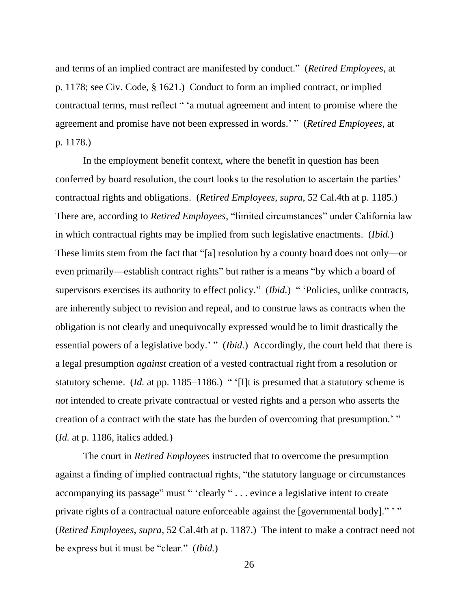and terms of an implied contract are manifested by conduct." (*Retired Employees*, at p. 1178; see Civ. Code, § 1621.) Conduct to form an implied contract, or implied contractual terms, must reflect " 'a mutual agreement and intent to promise where the agreement and promise have not been expressed in words.' " (*Retired Employees*, at p. 1178.)

In the employment benefit context, where the benefit in question has been conferred by board resolution, the court looks to the resolution to ascertain the parties' contractual rights and obligations. (*Retired Employees*, *supra*, 52 Cal.4th at p. 1185.) There are, according to *Retired Employees*, "limited circumstances" under California law in which contractual rights may be implied from such legislative enactments. (*Ibid.*) These limits stem from the fact that "[a] resolution by a county board does not only—or even primarily—establish contract rights" but rather is a means "by which a board of supervisors exercises its authority to effect policy." (*Ibid.*) " 'Policies, unlike contracts, are inherently subject to revision and repeal, and to construe laws as contracts when the obligation is not clearly and unequivocally expressed would be to limit drastically the essential powers of a legislative body.' " *(Ibid.)* Accordingly, the court held that there is a legal presumption *against* creation of a vested contractual right from a resolution or statutory scheme. (*Id.* at pp. 1185–1186.) " '[I]t is presumed that a statutory scheme is *not* intended to create private contractual or vested rights and a person who asserts the creation of a contract with the state has the burden of overcoming that presumption.' " (*Id.* at p. 1186, italics added*.*)

The court in *Retired Employees* instructed that to overcome the presumption against a finding of implied contractual rights, "the statutory language or circumstances accompanying its passage" must " 'clearly " . . . evince a legislative intent to create private rights of a contractual nature enforceable against the [governmental body]."" (*Retired Employees*, *supra*, 52 Cal.4th at p. 1187.) The intent to make a contract need not be express but it must be "clear." (*Ibid.*)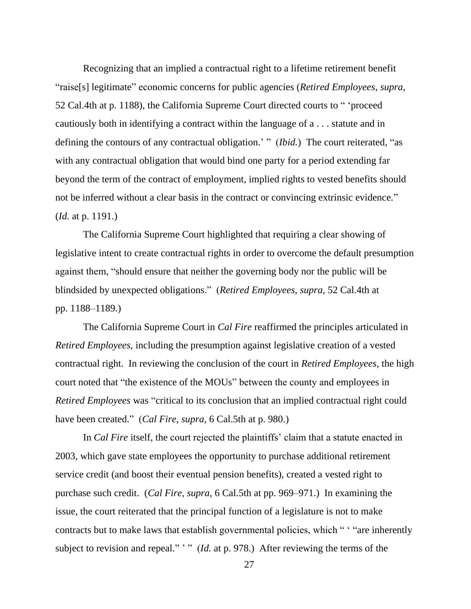Recognizing that an implied a contractual right to a lifetime retirement benefit "raise[s] legitimate" economic concerns for public agencies (*Retired Employees*, *supra*, 52 Cal.4th at p. 1188), the California Supreme Court directed courts to " 'proceed cautiously both in identifying a contract within the language of a . . . statute and in defining the contours of any contractual obligation.' " *(Ibid.)* The court reiterated, "as with any contractual obligation that would bind one party for a period extending far beyond the term of the contract of employment, implied rights to vested benefits should not be inferred without a clear basis in the contract or convincing extrinsic evidence." (*Id.* at p. 1191.)

The California Supreme Court highlighted that requiring a clear showing of legislative intent to create contractual rights in order to overcome the default presumption against them, "should ensure that neither the governing body nor the public will be blindsided by unexpected obligations." (*Retired Employees*, *supra*, 52 Cal.4th at pp. 1188–1189.)

The California Supreme Court in *Cal Fire* reaffirmed the principles articulated in *Retired Employees*, including the presumption against legislative creation of a vested contractual right. In reviewing the conclusion of the court in *Retired Employees*, the high court noted that "the existence of the MOUs" between the county and employees in *Retired Employees* was "critical to its conclusion that an implied contractual right could have been created." (*Cal Fire*, *supra*, 6 Cal.5th at p. 980.)

In *Cal Fire* itself, the court rejected the plaintiffs' claim that a statute enacted in 2003, which gave state employees the opportunity to purchase additional retirement service credit (and boost their eventual pension benefits), created a vested right to purchase such credit. (*Cal Fire*, *supra*, 6 Cal.5th at pp. 969–971.) In examining the issue, the court reiterated that the principal function of a legislature is not to make contracts but to make laws that establish governmental policies, which " ' "are inherently subject to revision and repeal." " (*Id.* at p. 978.) After reviewing the terms of the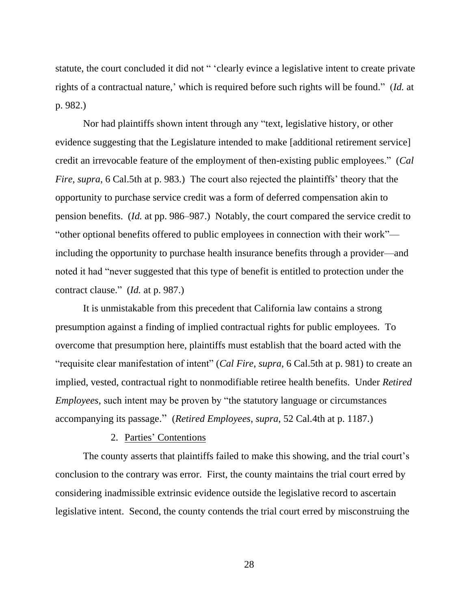statute, the court concluded it did not " 'clearly evince a legislative intent to create private rights of a contractual nature,' which is required before such rights will be found." (*Id.* at p. 982.)

Nor had plaintiffs shown intent through any "text, legislative history, or other evidence suggesting that the Legislature intended to make [additional retirement service] credit an irrevocable feature of the employment of then-existing public employees." (*Cal Fire*, *supra*, 6 Cal.5th at p. 983.) The court also rejected the plaintiffs' theory that the opportunity to purchase service credit was a form of deferred compensation akin to pension benefits. (*Id.* at pp. 986–987.) Notably, the court compared the service credit to "other optional benefits offered to public employees in connection with their work" including the opportunity to purchase health insurance benefits through a provider—and noted it had "never suggested that this type of benefit is entitled to protection under the contract clause." (*Id.* at p. 987.)

It is unmistakable from this precedent that California law contains a strong presumption against a finding of implied contractual rights for public employees. To overcome that presumption here, plaintiffs must establish that the board acted with the "requisite clear manifestation of intent" (*Cal Fire*, *supra*, 6 Cal.5th at p. 981) to create an implied, vested, contractual right to nonmodifiable retiree health benefits. Under *Retired Employees*, such intent may be proven by "the statutory language or circumstances accompanying its passage." (*Retired Employees*, *supra*, 52 Cal.4th at p. 1187.)

#### 2. Parties' Contentions

The county asserts that plaintiffs failed to make this showing, and the trial court's conclusion to the contrary was error. First, the county maintains the trial court erred by considering inadmissible extrinsic evidence outside the legislative record to ascertain legislative intent. Second, the county contends the trial court erred by misconstruing the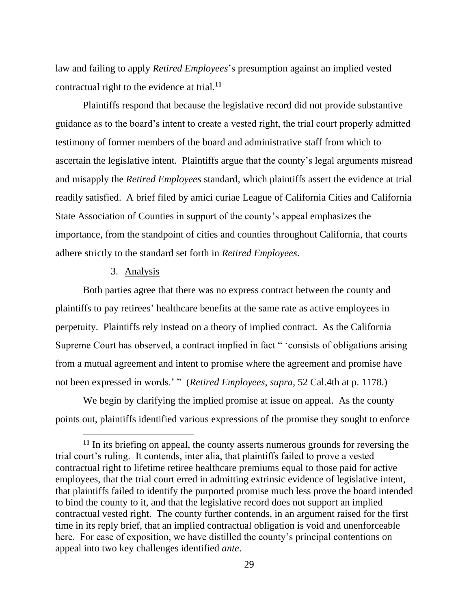law and failing to apply *Retired Employees*'s presumption against an implied vested contractual right to the evidence at trial.**<sup>11</sup>**

Plaintiffs respond that because the legislative record did not provide substantive guidance as to the board's intent to create a vested right, the trial court properly admitted testimony of former members of the board and administrative staff from which to ascertain the legislative intent. Plaintiffs argue that the county's legal arguments misread and misapply the *Retired Employees* standard, which plaintiffs assert the evidence at trial readily satisfied. A brief filed by amici curiae League of California Cities and California State Association of Counties in support of the county's appeal emphasizes the importance, from the standpoint of cities and counties throughout California, that courts adhere strictly to the standard set forth in *Retired Employees*.

### 3. Analysis

Both parties agree that there was no express contract between the county and plaintiffs to pay retirees' healthcare benefits at the same rate as active employees in perpetuity. Plaintiffs rely instead on a theory of implied contract. As the California Supreme Court has observed, a contract implied in fact " 'consists of obligations arising from a mutual agreement and intent to promise where the agreement and promise have not been expressed in words.' " (*Retired Employees*, *supra*, 52 Cal.4th at p. 1178.)

We begin by clarifying the implied promise at issue on appeal. As the county points out, plaintiffs identified various expressions of the promise they sought to enforce

**<sup>11</sup>** In its briefing on appeal, the county asserts numerous grounds for reversing the trial court's ruling. It contends, inter alia, that plaintiffs failed to prove a vested contractual right to lifetime retiree healthcare premiums equal to those paid for active employees, that the trial court erred in admitting extrinsic evidence of legislative intent, that plaintiffs failed to identify the purported promise much less prove the board intended to bind the county to it, and that the legislative record does not support an implied contractual vested right. The county further contends, in an argument raised for the first time in its reply brief, that an implied contractual obligation is void and unenforceable here. For ease of exposition, we have distilled the county's principal contentions on appeal into two key challenges identified *ante*.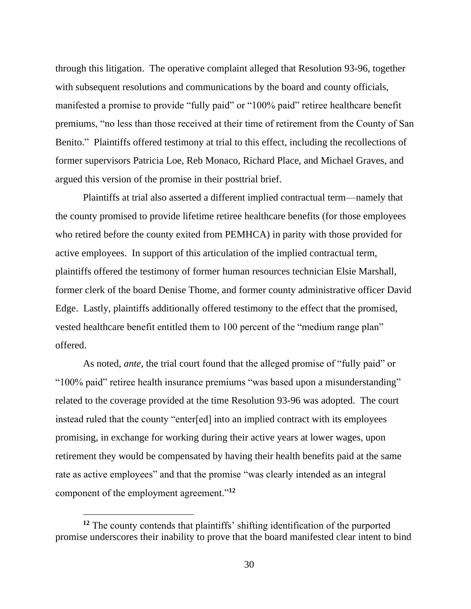through this litigation. The operative complaint alleged that Resolution 93-96, together with subsequent resolutions and communications by the board and county officials, manifested a promise to provide "fully paid" or "100% paid" retiree healthcare benefit premiums, "no less than those received at their time of retirement from the County of San Benito." Plaintiffs offered testimony at trial to this effect, including the recollections of former supervisors Patricia Loe, Reb Monaco, Richard Place, and Michael Graves, and argued this version of the promise in their posttrial brief.

Plaintiffs at trial also asserted a different implied contractual term—namely that the county promised to provide lifetime retiree healthcare benefits (for those employees who retired before the county exited from PEMHCA) in parity with those provided for active employees. In support of this articulation of the implied contractual term, plaintiffs offered the testimony of former human resources technician Elsie Marshall, former clerk of the board Denise Thome, and former county administrative officer David Edge. Lastly, plaintiffs additionally offered testimony to the effect that the promised, vested healthcare benefit entitled them to 100 percent of the "medium range plan" offered.

As noted, *ante*, the trial court found that the alleged promise of "fully paid" or "100% paid" retiree health insurance premiums "was based upon a misunderstanding" related to the coverage provided at the time Resolution 93-96 was adopted. The court instead ruled that the county "enter[ed] into an implied contract with its employees promising, in exchange for working during their active years at lower wages, upon retirement they would be compensated by having their health benefits paid at the same rate as active employees" and that the promise "was clearly intended as an integral component of the employment agreement."**<sup>12</sup>**

**<sup>12</sup>** The county contends that plaintiffs' shifting identification of the purported promise underscores their inability to prove that the board manifested clear intent to bind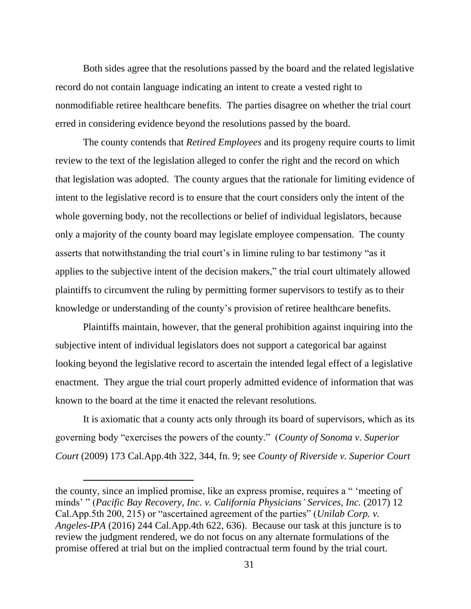Both sides agree that the resolutions passed by the board and the related legislative record do not contain language indicating an intent to create a vested right to nonmodifiable retiree healthcare benefits. The parties disagree on whether the trial court erred in considering evidence beyond the resolutions passed by the board.

The county contends that *Retired Employees* and its progeny require courts to limit review to the text of the legislation alleged to confer the right and the record on which that legislation was adopted. The county argues that the rationale for limiting evidence of intent to the legislative record is to ensure that the court considers only the intent of the whole governing body, not the recollections or belief of individual legislators, because only a majority of the county board may legislate employee compensation. The county asserts that notwithstanding the trial court's in limine ruling to bar testimony "as it applies to the subjective intent of the decision makers," the trial court ultimately allowed plaintiffs to circumvent the ruling by permitting former supervisors to testify as to their knowledge or understanding of the county's provision of retiree healthcare benefits.

Plaintiffs maintain, however, that the general prohibition against inquiring into the subjective intent of individual legislators does not support a categorical bar against looking beyond the legislative record to ascertain the intended legal effect of a legislative enactment. They argue the trial court properly admitted evidence of information that was known to the board at the time it enacted the relevant resolutions.

It is axiomatic that a county acts only through its board of supervisors, which as its governing body "exercises the powers of the county." (*County of Sonoma v. Superior Court* (2009) 173 Cal.App.4th 322, 344, fn. 9; see *County of Riverside v. Superior Court* 

the county, since an implied promise, like an express promise, requires a " 'meeting of minds' " (*Pacific Bay Recovery, Inc. v. California Physicians' Services, Inc.* (2017) 12 Cal.App.5th 200, 215) or "ascertained agreement of the parties" (*Unilab Corp. v. Angeles-IPA* (2016) 244 Cal.App.4th 622, 636). Because our task at this juncture is to review the judgment rendered, we do not focus on any alternate formulations of the promise offered at trial but on the implied contractual term found by the trial court.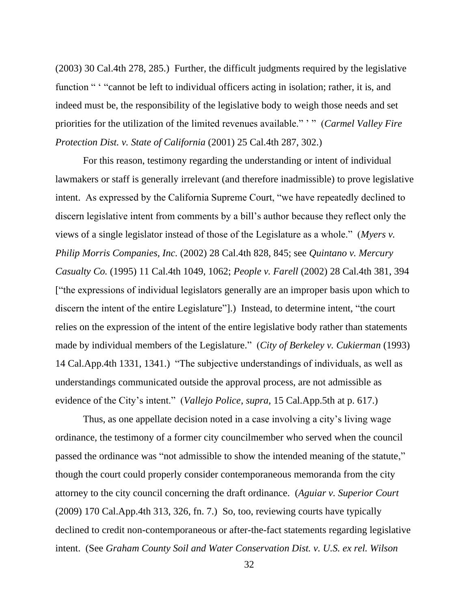(2003) 30 Cal.4th 278, 285.) Further, the difficult judgments required by the legislative function " " "cannot be left to individual officers acting in isolation; rather, it is, and indeed must be, the responsibility of the legislative body to weigh those needs and set priorities for the utilization of the limited revenues available." ' " (*Carmel Valley Fire Protection Dist. v. State of California* (2001) 25 Cal.4th 287, 302.)

For this reason, testimony regarding the understanding or intent of individual lawmakers or staff is generally irrelevant (and therefore inadmissible) to prove legislative intent. As expressed by the California Supreme Court, "we have repeatedly declined to discern legislative intent from comments by a bill's author because they reflect only the views of a single legislator instead of those of the Legislature as a whole." (*Myers v. Philip Morris Companies, Inc.* (2002) 28 Cal.4th 828, 845; see *Quintano v. Mercury Casualty Co.* (1995) 11 Cal.4th 1049, 1062; *People v. Farell* (2002) 28 Cal.4th 381, 394 ["the expressions of individual legislators generally are an improper basis upon which to discern the intent of the entire Legislature"].) Instead, to determine intent, "the court relies on the expression of the intent of the entire legislative body rather than statements made by individual members of the Legislature." (*City of Berkeley v. Cukierman* (1993) 14 Cal.App.4th 1331, 1341.) "The subjective understandings of individuals, as well as understandings communicated outside the approval process, are not admissible as evidence of the City's intent." (*Vallejo Police*, *supra*, 15 Cal.App.5th at p. 617.)

Thus, as one appellate decision noted in a case involving a city's living wage ordinance, the testimony of a former city councilmember who served when the council passed the ordinance was "not admissible to show the intended meaning of the statute," though the court could properly consider contemporaneous memoranda from the city attorney to the city council concerning the draft ordinance. (*Aguiar v. Superior Court* (2009) 170 Cal.App.4th 313, 326, fn. 7.) So, too, reviewing courts have typically declined to credit non-contemporaneous or after-the-fact statements regarding legislative intent. (See *Graham County Soil and Water Conservation Dist. v. U.S. ex rel. Wilson*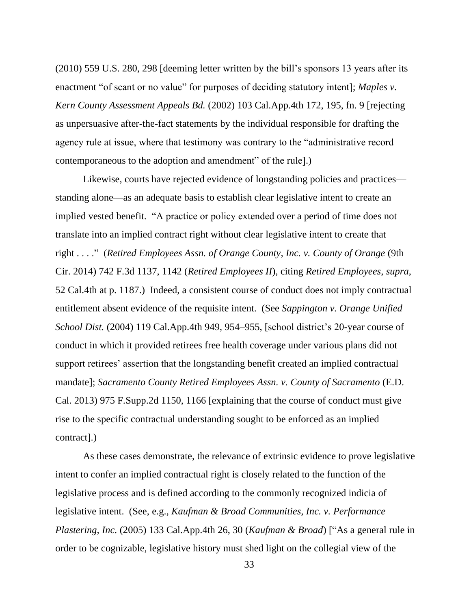(2010) 559 U.S. 280, 298 [deeming letter written by the bill's sponsors 13 years after its enactment "of scant or no value" for purposes of deciding statutory intent]; *Maples v. Kern County Assessment Appeals Bd.* (2002) 103 Cal.App.4th 172, 195, fn. 9 [rejecting as unpersuasive after-the-fact statements by the individual responsible for drafting the agency rule at issue, where that testimony was contrary to the "administrative record contemporaneous to the adoption and amendment" of the rule].)

Likewise, courts have rejected evidence of longstanding policies and practices standing alone—as an adequate basis to establish clear legislative intent to create an implied vested benefit. "A practice or policy extended over a period of time does not translate into an implied contract right without clear legislative intent to create that right . . . ." (*Retired Employees Assn. of Orange County, Inc. v. County of Orange* (9th Cir. 2014) 742 F.3d 1137, 1142 (*Retired Employees II*), citing *Retired Employees*, *supra*, 52 Cal.4th at p. 1187.) Indeed, a consistent course of conduct does not imply contractual entitlement absent evidence of the requisite intent. (See *Sappington v. Orange Unified School Dist.* (2004) 119 Cal.App.4th 949, 954–955, [school district's 20-year course of conduct in which it provided retirees free health coverage under various plans did not support retirees' assertion that the longstanding benefit created an implied contractual mandate]; *Sacramento County Retired Employees Assn. v. County of Sacramento* (E.D. Cal. 2013) 975 F.Supp.2d 1150, 1166 [explaining that the course of conduct must give rise to the specific contractual understanding sought to be enforced as an implied contract].)

As these cases demonstrate, the relevance of extrinsic evidence to prove legislative intent to confer an implied contractual right is closely related to the function of the legislative process and is defined according to the commonly recognized indicia of legislative intent. (See, e.g., *Kaufman & Broad Communities, Inc. v. Performance Plastering, Inc.* (2005) 133 Cal.App.4th 26, 30 (*Kaufman & Broad*) ["As a general rule in order to be cognizable, legislative history must shed light on the collegial view of the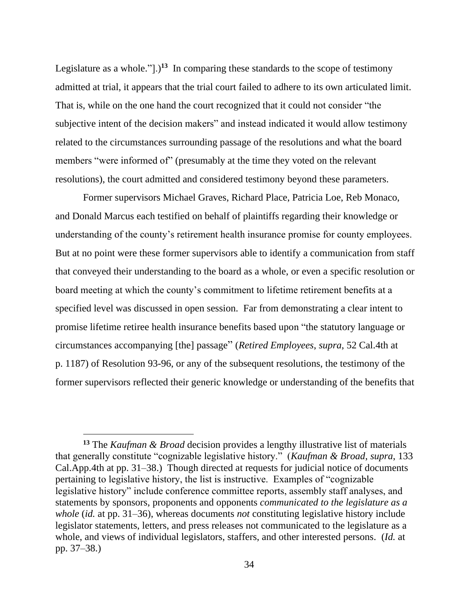Legislature as a whole." $]$ .)<sup>13</sup> In comparing these standards to the scope of testimony admitted at trial, it appears that the trial court failed to adhere to its own articulated limit. That is, while on the one hand the court recognized that it could not consider "the subjective intent of the decision makers" and instead indicated it would allow testimony related to the circumstances surrounding passage of the resolutions and what the board members "were informed of" (presumably at the time they voted on the relevant resolutions), the court admitted and considered testimony beyond these parameters.

Former supervisors Michael Graves, Richard Place, Patricia Loe, Reb Monaco, and Donald Marcus each testified on behalf of plaintiffs regarding their knowledge or understanding of the county's retirement health insurance promise for county employees. But at no point were these former supervisors able to identify a communication from staff that conveyed their understanding to the board as a whole, or even a specific resolution or board meeting at which the county's commitment to lifetime retirement benefits at a specified level was discussed in open session. Far from demonstrating a clear intent to promise lifetime retiree health insurance benefits based upon "the statutory language or circumstances accompanying [the] passage" (*Retired Employees*, *supra*, 52 Cal.4th at p. 1187) of Resolution 93-96, or any of the subsequent resolutions, the testimony of the former supervisors reflected their generic knowledge or understanding of the benefits that

**<sup>13</sup>** The *Kaufman & Broad* decision provides a lengthy illustrative list of materials that generally constitute "cognizable legislative history." (*Kaufman & Broad*, *supra*, 133 Cal.App.4th at pp. 31–38.) Though directed at requests for judicial notice of documents pertaining to legislative history, the list is instructive. Examples of "cognizable legislative history" include conference committee reports, assembly staff analyses, and statements by sponsors, proponents and opponents *communicated to the legislature as a whole* (*id.* at pp. 31–36), whereas documents *not* constituting legislative history include legislator statements, letters, and press releases not communicated to the legislature as a whole, and views of individual legislators, staffers, and other interested persons. (*Id.* at pp. 37–38.)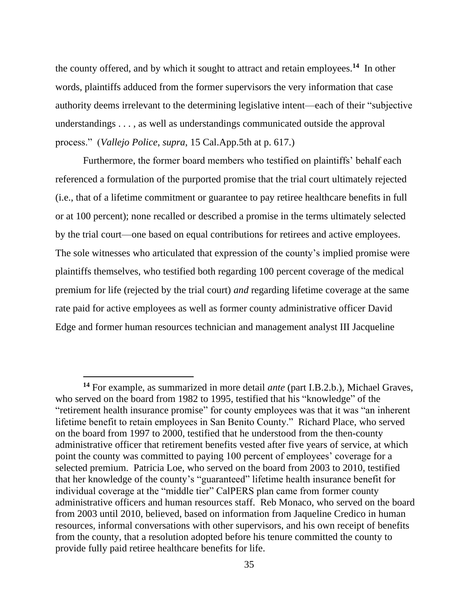the county offered, and by which it sought to attract and retain employees.**<sup>14</sup>** In other words, plaintiffs adduced from the former supervisors the very information that case authority deems irrelevant to the determining legislative intent—each of their "subjective understandings . . . , as well as understandings communicated outside the approval process." (*Vallejo Police*, *supra*, 15 Cal.App.5th at p. 617.)

Furthermore, the former board members who testified on plaintiffs' behalf each referenced a formulation of the purported promise that the trial court ultimately rejected (i.e., that of a lifetime commitment or guarantee to pay retiree healthcare benefits in full or at 100 percent); none recalled or described a promise in the terms ultimately selected by the trial court—one based on equal contributions for retirees and active employees. The sole witnesses who articulated that expression of the county's implied promise were plaintiffs themselves, who testified both regarding 100 percent coverage of the medical premium for life (rejected by the trial court) *and* regarding lifetime coverage at the same rate paid for active employees as well as former county administrative officer David Edge and former human resources technician and management analyst III Jacqueline

**<sup>14</sup>** For example, as summarized in more detail *ante* (part I.B.2.b.), Michael Graves, who served on the board from 1982 to 1995, testified that his "knowledge" of the "retirement health insurance promise" for county employees was that it was "an inherent lifetime benefit to retain employees in San Benito County." Richard Place, who served on the board from 1997 to 2000, testified that he understood from the then-county administrative officer that retirement benefits vested after five years of service, at which point the county was committed to paying 100 percent of employees' coverage for a selected premium. Patricia Loe, who served on the board from 2003 to 2010, testified that her knowledge of the county's "guaranteed" lifetime health insurance benefit for individual coverage at the "middle tier" CalPERS plan came from former county administrative officers and human resources staff. Reb Monaco, who served on the board from 2003 until 2010, believed, based on information from Jaqueline Credico in human resources, informal conversations with other supervisors, and his own receipt of benefits from the county, that a resolution adopted before his tenure committed the county to provide fully paid retiree healthcare benefits for life.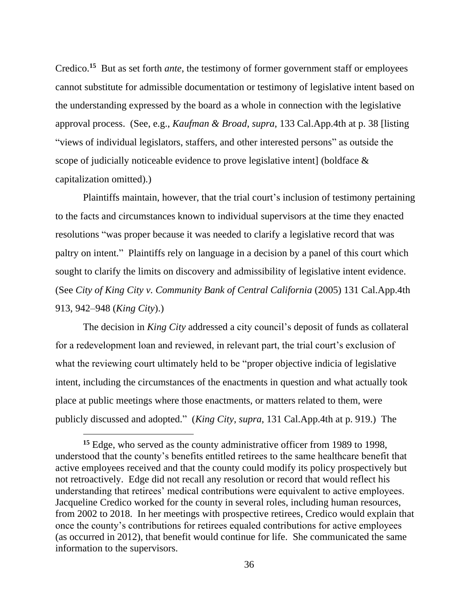Credico.**<sup>15</sup>** But as set forth *ante*, the testimony of former government staff or employees cannot substitute for admissible documentation or testimony of legislative intent based on the understanding expressed by the board as a whole in connection with the legislative approval process. (See, e.g., *Kaufman & Broad*, *supra*, 133 Cal.App.4th at p. 38 [listing "views of individual legislators, staffers, and other interested persons" as outside the scope of judicially noticeable evidence to prove legislative intent] (boldface & capitalization omitted).)

Plaintiffs maintain, however, that the trial court's inclusion of testimony pertaining to the facts and circumstances known to individual supervisors at the time they enacted resolutions "was proper because it was needed to clarify a legislative record that was paltry on intent." Plaintiffs rely on language in a decision by a panel of this court which sought to clarify the limits on discovery and admissibility of legislative intent evidence. (See *City of King City v. Community Bank of Central California* (2005) 131 Cal.App.4th 913, 942–948 (*King City*).)

The decision in *King City* addressed a city council's deposit of funds as collateral for a redevelopment loan and reviewed, in relevant part, the trial court's exclusion of what the reviewing court ultimately held to be "proper objective indicia of legislative intent, including the circumstances of the enactments in question and what actually took place at public meetings where those enactments, or matters related to them, were publicly discussed and adopted." (*King City*, *supra*, 131 Cal.App.4th at p. 919.) The

**<sup>15</sup>** Edge, who served as the county administrative officer from 1989 to 1998, understood that the county's benefits entitled retirees to the same healthcare benefit that active employees received and that the county could modify its policy prospectively but not retroactively. Edge did not recall any resolution or record that would reflect his understanding that retirees' medical contributions were equivalent to active employees. Jacqueline Credico worked for the county in several roles, including human resources, from 2002 to 2018. In her meetings with prospective retirees, Credico would explain that once the county's contributions for retirees equaled contributions for active employees (as occurred in 2012), that benefit would continue for life. She communicated the same information to the supervisors.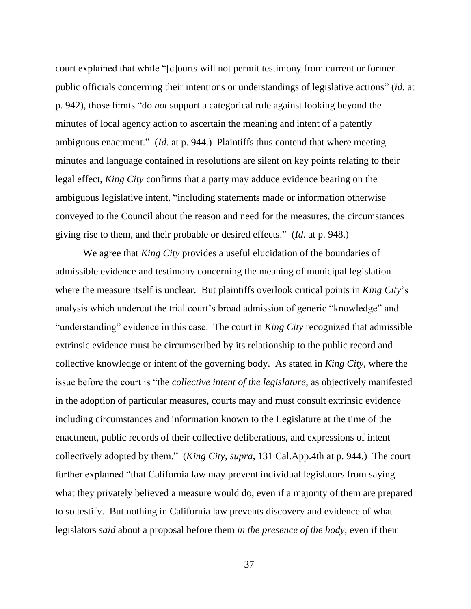court explained that while "[c]ourts will not permit testimony from current or former public officials concerning their intentions or understandings of legislative actions" (*id.* at p. 942), those limits "do *not* support a categorical rule against looking beyond the minutes of local agency action to ascertain the meaning and intent of a patently ambiguous enactment." (*Id.* at p. 944.) Plaintiffs thus contend that where meeting minutes and language contained in resolutions are silent on key points relating to their legal effect, *King City* confirms that a party may adduce evidence bearing on the ambiguous legislative intent, "including statements made or information otherwise conveyed to the Council about the reason and need for the measures, the circumstances giving rise to them, and their probable or desired effects." (*Id*. at p. 948.)

We agree that *King City* provides a useful elucidation of the boundaries of admissible evidence and testimony concerning the meaning of municipal legislation where the measure itself is unclear. But plaintiffs overlook critical points in *King City*'s analysis which undercut the trial court's broad admission of generic "knowledge" and "understanding" evidence in this case. The court in *King City* recognized that admissible extrinsic evidence must be circumscribed by its relationship to the public record and collective knowledge or intent of the governing body. As stated in *King City*, where the issue before the court is "the *collective intent of the legislature,* as objectively manifested in the adoption of particular measures, courts may and must consult extrinsic evidence including circumstances and information known to the Legislature at the time of the enactment, public records of their collective deliberations, and expressions of intent collectively adopted by them." (*King City*, *supra*, 131 Cal.App.4th at p. 944.) The court further explained "that California law may prevent individual legislators from saying what they privately believed a measure would do, even if a majority of them are prepared to so testify. But nothing in California law prevents discovery and evidence of what legislators *said* about a proposal before them *in the presence of the body,* even if their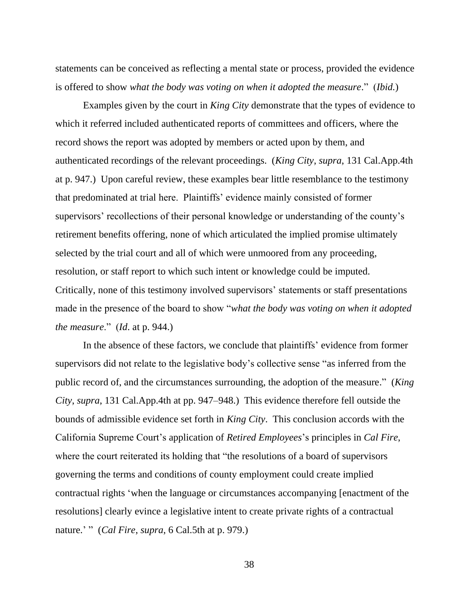statements can be conceived as reflecting a mental state or process, provided the evidence is offered to show *what the body was voting on when it adopted the measure*." (*Ibid.*)

Examples given by the court in *King City* demonstrate that the types of evidence to which it referred included authenticated reports of committees and officers, where the record shows the report was adopted by members or acted upon by them, and authenticated recordings of the relevant proceedings. (*King City*, *supra*, 131 Cal.App.4th at p. 947.) Upon careful review, these examples bear little resemblance to the testimony that predominated at trial here. Plaintiffs' evidence mainly consisted of former supervisors' recollections of their personal knowledge or understanding of the county's retirement benefits offering, none of which articulated the implied promise ultimately selected by the trial court and all of which were unmoored from any proceeding, resolution, or staff report to which such intent or knowledge could be imputed. Critically, none of this testimony involved supervisors' statements or staff presentations made in the presence of the board to show "*what the body was voting on when it adopted the measure*." (*Id*. at p. 944.)

In the absence of these factors, we conclude that plaintiffs' evidence from former supervisors did not relate to the legislative body's collective sense "as inferred from the public record of, and the circumstances surrounding, the adoption of the measure." (*King City*, *supra*, 131 Cal.App.4th at pp. 947–948.) This evidence therefore fell outside the bounds of admissible evidence set forth in *King City*. This conclusion accords with the California Supreme Court's application of *Retired Employees*'s principles in *Cal Fire*, where the court reiterated its holding that "the resolutions of a board of supervisors governing the terms and conditions of county employment could create implied contractual rights 'when the language or circumstances accompanying [enactment of the resolutions] clearly evince a legislative intent to create private rights of a contractual nature.' " (*Cal Fire*, *supra*, 6 Cal.5th at p. 979.)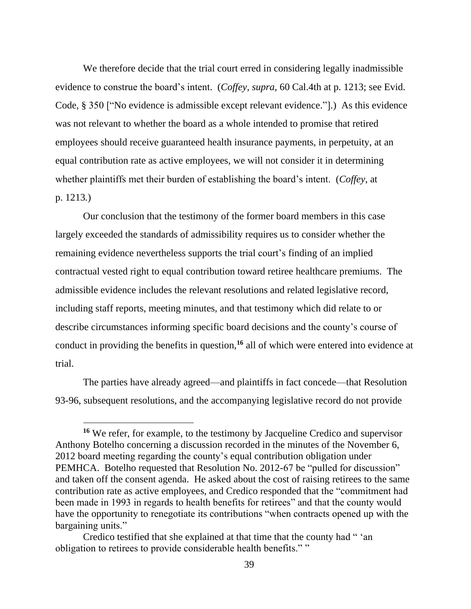We therefore decide that the trial court erred in considering legally inadmissible evidence to construe the board's intent. (*Coffey*, *supra*, 60 Cal.4th at p. 1213; see Evid. Code, § 350 ["No evidence is admissible except relevant evidence."].) As this evidence was not relevant to whether the board as a whole intended to promise that retired employees should receive guaranteed health insurance payments, in perpetuity, at an equal contribution rate as active employees, we will not consider it in determining whether plaintiffs met their burden of establishing the board's intent. (*Coffey*, at p. 1213*.*)

Our conclusion that the testimony of the former board members in this case largely exceeded the standards of admissibility requires us to consider whether the remaining evidence nevertheless supports the trial court's finding of an implied contractual vested right to equal contribution toward retiree healthcare premiums. The admissible evidence includes the relevant resolutions and related legislative record, including staff reports, meeting minutes, and that testimony which did relate to or describe circumstances informing specific board decisions and the county's course of conduct in providing the benefits in question,**<sup>16</sup>** all of which were entered into evidence at trial.

The parties have already agreed—and plaintiffs in fact concede—that Resolution 93-96, subsequent resolutions, and the accompanying legislative record do not provide

**<sup>16</sup>** We refer, for example, to the testimony by Jacqueline Credico and supervisor Anthony Botelho concerning a discussion recorded in the minutes of the November 6, 2012 board meeting regarding the county's equal contribution obligation under PEMHCA. Botelho requested that Resolution No. 2012-67 be "pulled for discussion" and taken off the consent agenda. He asked about the cost of raising retirees to the same contribution rate as active employees, and Credico responded that the "commitment had been made in 1993 in regards to health benefits for retirees" and that the county would have the opportunity to renegotiate its contributions "when contracts opened up with the bargaining units."

Credico testified that she explained at that time that the county had " 'an obligation to retirees to provide considerable health benefits." "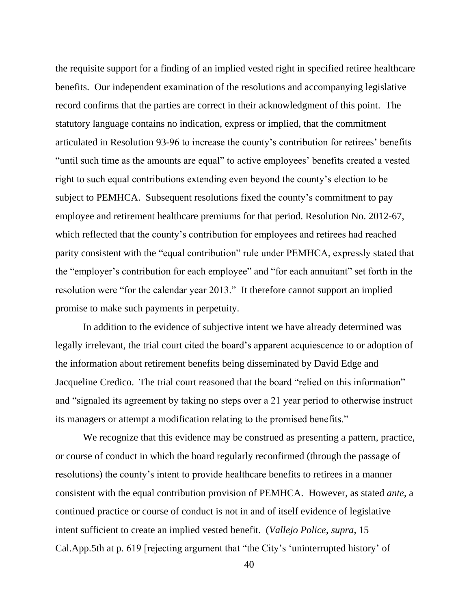the requisite support for a finding of an implied vested right in specified retiree healthcare benefits. Our independent examination of the resolutions and accompanying legislative record confirms that the parties are correct in their acknowledgment of this point. The statutory language contains no indication, express or implied, that the commitment articulated in Resolution 93-96 to increase the county's contribution for retirees' benefits "until such time as the amounts are equal" to active employees' benefits created a vested right to such equal contributions extending even beyond the county's election to be subject to PEMHCA. Subsequent resolutions fixed the county's commitment to pay employee and retirement healthcare premiums for that period. Resolution No. 2012-67, which reflected that the county's contribution for employees and retirees had reached parity consistent with the "equal contribution" rule under PEMHCA, expressly stated that the "employer's contribution for each employee" and "for each annuitant" set forth in the resolution were "for the calendar year 2013." It therefore cannot support an implied promise to make such payments in perpetuity.

In addition to the evidence of subjective intent we have already determined was legally irrelevant, the trial court cited the board's apparent acquiescence to or adoption of the information about retirement benefits being disseminated by David Edge and Jacqueline Credico. The trial court reasoned that the board "relied on this information" and "signaled its agreement by taking no steps over a 21 year period to otherwise instruct its managers or attempt a modification relating to the promised benefits."

We recognize that this evidence may be construed as presenting a pattern, practice, or course of conduct in which the board regularly reconfirmed (through the passage of resolutions) the county's intent to provide healthcare benefits to retirees in a manner consistent with the equal contribution provision of PEMHCA. However, as stated *ante*, a continued practice or course of conduct is not in and of itself evidence of legislative intent sufficient to create an implied vested benefit. (*Vallejo Police*, *supra*, 15 Cal.App.5th at p. 619 [rejecting argument that "the City's 'uninterrupted history' of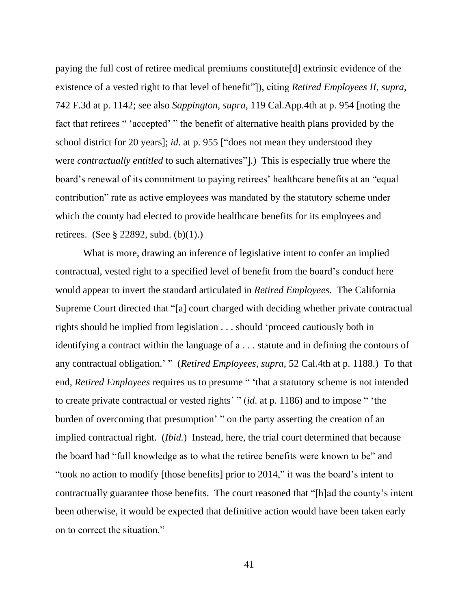paying the full cost of retiree medical premiums constitute[d] extrinsic evidence of the existence of a vested right to that level of benefit"]), citing *Retired Employees II*, *supra*, 742 F.3d at p. 1142; see also *Sappington*, *supra*, 119 Cal.App.4th at p. 954 [noting the fact that retirees " 'accepted' " the benefit of alternative health plans provided by the school district for 20 years]; *id*. at p. 955 ["does not mean they understood they were *contractually entitled* to such alternatives"].) This is especially true where the board's renewal of its commitment to paying retirees' healthcare benefits at an "equal contribution" rate as active employees was mandated by the statutory scheme under which the county had elected to provide healthcare benefits for its employees and retirees. (See § 22892, subd. (b)(1).)

What is more, drawing an inference of legislative intent to confer an implied contractual, vested right to a specified level of benefit from the board's conduct here would appear to invert the standard articulated in *Retired Employees*. The California Supreme Court directed that "[a] court charged with deciding whether private contractual rights should be implied from legislation . . . should 'proceed cautiously both in identifying a contract within the language of a . . . statute and in defining the contours of any contractual obligation.' " (*Retired Employees*, *supra*, 52 Cal.4th at p. 1188.) To that end, *Retired Employees* requires us to presume " 'that a statutory scheme is not intended to create private contractual or vested rights' " (*id*. at p. 1186) and to impose " 'the burden of overcoming that presumption' " on the party asserting the creation of an implied contractual right. (*Ibid.*) Instead, here, the trial court determined that because the board had "full knowledge as to what the retiree benefits were known to be" and "took no action to modify [those benefits] prior to 2014," it was the board's intent to contractually guarantee those benefits. The court reasoned that "[h]ad the county's intent been otherwise, it would be expected that definitive action would have been taken early on to correct the situation."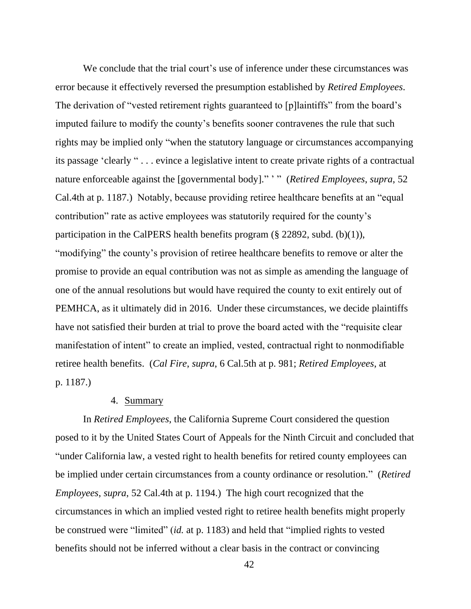We conclude that the trial court's use of inference under these circumstances was error because it effectively reversed the presumption established by *Retired Employees*. The derivation of "vested retirement rights guaranteed to [p] laintiffs" from the board's imputed failure to modify the county's benefits sooner contravenes the rule that such rights may be implied only "when the statutory language or circumstances accompanying its passage 'clearly " . . . evince a legislative intent to create private rights of a contractual nature enforceable against the [governmental body]." ' " (*Retired Employees*, *supra*, 52 Cal.4th at p. 1187.) Notably, because providing retiree healthcare benefits at an "equal contribution" rate as active employees was statutorily required for the county's participation in the CalPERS health benefits program (§ 22892, subd. (b)(1)), "modifying" the county's provision of retiree healthcare benefits to remove or alter the promise to provide an equal contribution was not as simple as amending the language of one of the annual resolutions but would have required the county to exit entirely out of PEMHCA, as it ultimately did in 2016. Under these circumstances, we decide plaintiffs have not satisfied their burden at trial to prove the board acted with the "requisite clear manifestation of intent" to create an implied, vested, contractual right to nonmodifiable retiree health benefits. (*Cal Fire*, *supra*, 6 Cal.5th at p. 981; *Retired Employees*, at p. 1187.)

#### 4. Summary

In *Retired Employees*, the California Supreme Court considered the question posed to it by the United States Court of Appeals for the Ninth Circuit and concluded that "under California law, a vested right to health benefits for retired county employees can be implied under certain circumstances from a county ordinance or resolution." (*Retired Employees*, *supra*, 52 Cal.4th at p. 1194.) The high court recognized that the circumstances in which an implied vested right to retiree health benefits might properly be construed were "limited" (*id.* at p. 1183) and held that "implied rights to vested benefits should not be inferred without a clear basis in the contract or convincing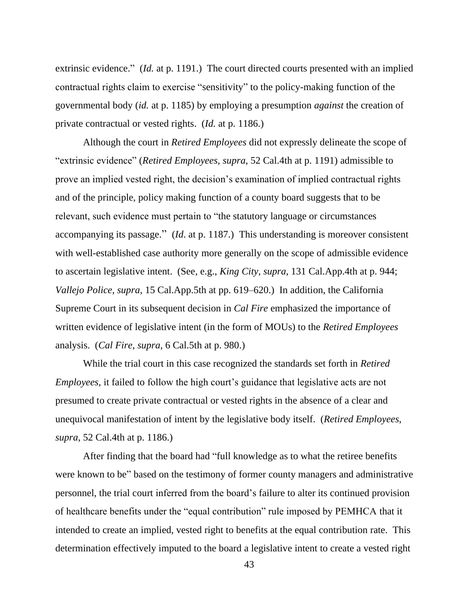extrinsic evidence." (*Id.* at p. 1191.) The court directed courts presented with an implied contractual rights claim to exercise "sensitivity" to the policy-making function of the governmental body (*id.* at p. 1185) by employing a presumption *against* the creation of private contractual or vested rights. (*Id.* at p. 1186.)

Although the court in *Retired Employees* did not expressly delineate the scope of "extrinsic evidence" (*Retired Employees*, *supra*, 52 Cal.4th at p. 1191) admissible to prove an implied vested right, the decision's examination of implied contractual rights and of the principle, policy making function of a county board suggests that to be relevant, such evidence must pertain to "the statutory language or circumstances accompanying its passage." (*Id*. at p. 1187.) This understanding is moreover consistent with well-established case authority more generally on the scope of admissible evidence to ascertain legislative intent. (See, e.g., *King City*, *supra*, 131 Cal.App.4th at p. 944; *Vallejo Police*, *supra*, 15 Cal.App.5th at pp. 619–620.) In addition, the California Supreme Court in its subsequent decision in *Cal Fire* emphasized the importance of written evidence of legislative intent (in the form of MOUs) to the *Retired Employees* analysis. (*Cal Fire*, *supra*, 6 Cal.5th at p. 980.)

While the trial court in this case recognized the standards set forth in *Retired Employees*, it failed to follow the high court's guidance that legislative acts are not presumed to create private contractual or vested rights in the absence of a clear and unequivocal manifestation of intent by the legislative body itself. (*Retired Employees*, *supra*, 52 Cal.4th at p. 1186.)

After finding that the board had "full knowledge as to what the retiree benefits were known to be" based on the testimony of former county managers and administrative personnel, the trial court inferred from the board's failure to alter its continued provision of healthcare benefits under the "equal contribution" rule imposed by PEMHCA that it intended to create an implied, vested right to benefits at the equal contribution rate. This determination effectively imputed to the board a legislative intent to create a vested right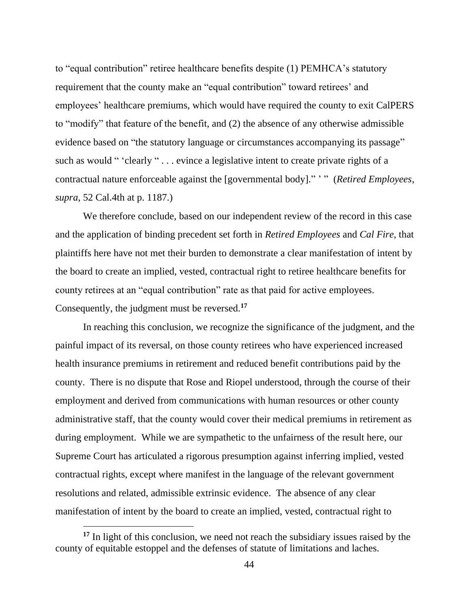to "equal contribution" retiree healthcare benefits despite (1) PEMHCA's statutory requirement that the county make an "equal contribution" toward retirees' and employees' healthcare premiums, which would have required the county to exit CalPERS to "modify" that feature of the benefit, and (2) the absence of any otherwise admissible evidence based on "the statutory language or circumstances accompanying its passage" such as would " 'clearly " . . . evince a legislative intent to create private rights of a contractual nature enforceable against the [governmental body]." ' " (*Retired Employees*, *supra*, 52 Cal.4th at p. 1187.)

We therefore conclude, based on our independent review of the record in this case and the application of binding precedent set forth in *Retired Employees* and *Cal Fire*, that plaintiffs here have not met their burden to demonstrate a clear manifestation of intent by the board to create an implied, vested, contractual right to retiree healthcare benefits for county retirees at an "equal contribution" rate as that paid for active employees. Consequently, the judgment must be reversed.**<sup>17</sup>**

In reaching this conclusion, we recognize the significance of the judgment, and the painful impact of its reversal, on those county retirees who have experienced increased health insurance premiums in retirement and reduced benefit contributions paid by the county. There is no dispute that Rose and Riopel understood, through the course of their employment and derived from communications with human resources or other county administrative staff, that the county would cover their medical premiums in retirement as during employment. While we are sympathetic to the unfairness of the result here, our Supreme Court has articulated a rigorous presumption against inferring implied, vested contractual rights, except where manifest in the language of the relevant government resolutions and related, admissible extrinsic evidence. The absence of any clear manifestation of intent by the board to create an implied, vested, contractual right to

**<sup>17</sup>** In light of this conclusion, we need not reach the subsidiary issues raised by the county of equitable estoppel and the defenses of statute of limitations and laches.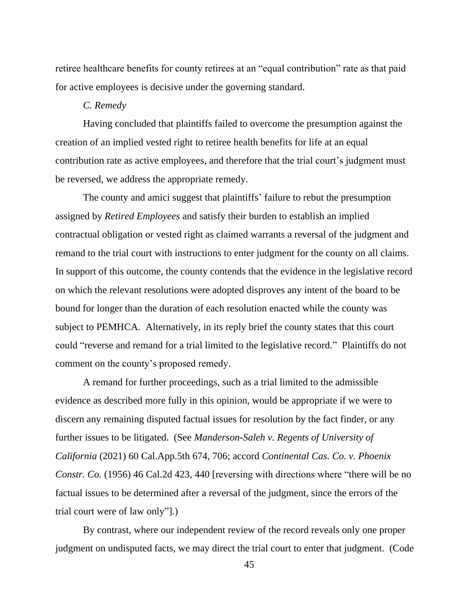retiree healthcare benefits for county retirees at an "equal contribution" rate as that paid for active employees is decisive under the governing standard.

#### *C. Remedy*

Having concluded that plaintiffs failed to overcome the presumption against the creation of an implied vested right to retiree health benefits for life at an equal contribution rate as active employees, and therefore that the trial court's judgment must be reversed, we address the appropriate remedy.

The county and amici suggest that plaintiffs' failure to rebut the presumption assigned by *Retired Employees* and satisfy their burden to establish an implied contractual obligation or vested right as claimed warrants a reversal of the judgment and remand to the trial court with instructions to enter judgment for the county on all claims. In support of this outcome, the county contends that the evidence in the legislative record on which the relevant resolutions were adopted disproves any intent of the board to be bound for longer than the duration of each resolution enacted while the county was subject to PEMHCA. Alternatively, in its reply brief the county states that this court could "reverse and remand for a trial limited to the legislative record." Plaintiffs do not comment on the county's proposed remedy.

A remand for further proceedings, such as a trial limited to the admissible evidence as described more fully in this opinion, would be appropriate if we were to discern any remaining disputed factual issues for resolution by the fact finder, or any further issues to be litigated. (See *Manderson-Saleh v. Regents of University of California* (2021) 60 Cal.App.5th 674, 706; accord *Continental Cas. Co. v. Phoenix Constr. Co.* (1956) 46 Cal.2d 423, 440 [reversing with directions where "there will be no factual issues to be determined after a reversal of the judgment, since the errors of the trial court were of law only"].)

By contrast, where our independent review of the record reveals only one proper judgment on undisputed facts, we may direct the trial court to enter that judgment. (Code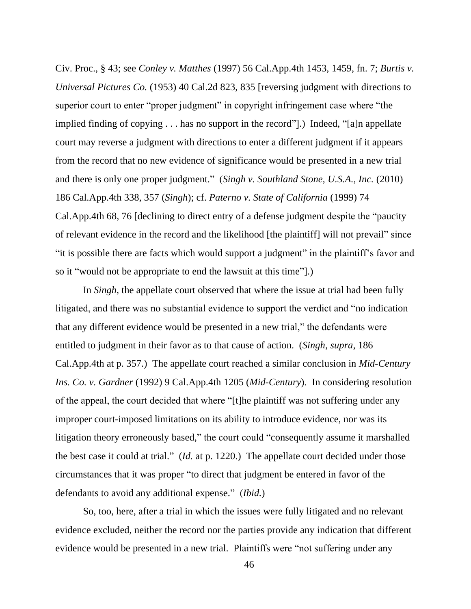Civ. Proc., § 43; see *Conley v. Matthes* (1997) 56 Cal.App.4th 1453, 1459, fn. 7; *Burtis v. Universal Pictures Co.* (1953) 40 Cal.2d 823, 835 [reversing judgment with directions to superior court to enter "proper judgment" in copyright infringement case where "the implied finding of copying . . . has no support in the record"].) Indeed, "[a]n appellate court may reverse a judgment with directions to enter a different judgment if it appears from the record that no new evidence of significance would be presented in a new trial and there is only one proper judgment." (*Singh v. Southland Stone, U.S.A., Inc.* (2010) 186 Cal.App.4th 338, 357 (*Singh*); cf. *Paterno v. State of California* (1999) 74 Cal.App.4th 68, 76 [declining to direct entry of a defense judgment despite the "paucity of relevant evidence in the record and the likelihood [the plaintiff] will not prevail" since "it is possible there are facts which would support a judgment" in the plaintiff's favor and so it "would not be appropriate to end the lawsuit at this time"].)

In *Singh*, the appellate court observed that where the issue at trial had been fully litigated, and there was no substantial evidence to support the verdict and "no indication that any different evidence would be presented in a new trial," the defendants were entitled to judgment in their favor as to that cause of action. (*Singh*, *supra*, 186 Cal.App.4th at p. 357.) The appellate court reached a similar conclusion in *Mid-Century Ins. Co. v. Gardner* (1992) 9 Cal.App.4th 1205 (*Mid-Century*). In considering resolution of the appeal, the court decided that where "[t]he plaintiff was not suffering under any improper court-imposed limitations on its ability to introduce evidence, nor was its litigation theory erroneously based," the court could "consequently assume it marshalled the best case it could at trial." (*Id.* at p. 1220.) The appellate court decided under those circumstances that it was proper "to direct that judgment be entered in favor of the defendants to avoid any additional expense." (*Ibid.*)

So, too, here, after a trial in which the issues were fully litigated and no relevant evidence excluded, neither the record nor the parties provide any indication that different evidence would be presented in a new trial. Plaintiffs were "not suffering under any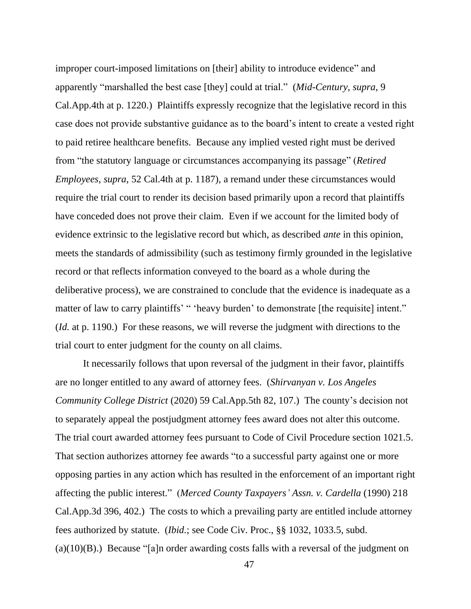improper court-imposed limitations on [their] ability to introduce evidence" and apparently "marshalled the best case [they] could at trial." (*Mid-Century*, *supra*, 9 Cal.App.4th at p. 1220.) Plaintiffs expressly recognize that the legislative record in this case does not provide substantive guidance as to the board's intent to create a vested right to paid retiree healthcare benefits. Because any implied vested right must be derived from "the statutory language or circumstances accompanying its passage" (*Retired Employees*, *supra*, 52 Cal.4th at p. 1187), a remand under these circumstances would require the trial court to render its decision based primarily upon a record that plaintiffs have conceded does not prove their claim. Even if we account for the limited body of evidence extrinsic to the legislative record but which, as described *ante* in this opinion, meets the standards of admissibility (such as testimony firmly grounded in the legislative record or that reflects information conveyed to the board as a whole during the deliberative process), we are constrained to conclude that the evidence is inadequate as a matter of law to carry plaintiffs' " 'heavy burden' to demonstrate [the requisite] intent." (*Id.* at p. 1190.) For these reasons, we will reverse the judgment with directions to the trial court to enter judgment for the county on all claims.

It necessarily follows that upon reversal of the judgment in their favor, plaintiffs are no longer entitled to any award of attorney fees. (*Shirvanyan v. Los Angeles Community College District* (2020) 59 Cal.App.5th 82, 107.) The county's decision not to separately appeal the postjudgment attorney fees award does not alter this outcome. The trial court awarded attorney fees pursuant to Code of Civil Procedure section 1021.5. That section authorizes attorney fee awards "to a successful party against one or more opposing parties in any action which has resulted in the enforcement of an important right affecting the public interest." (*Merced County Taxpayers' Assn. v. Cardella* (1990) 218 Cal.App.3d 396, 402.) The costs to which a prevailing party are entitled include attorney fees authorized by statute. (*Ibid.*; see Code Civ. Proc., §§ 1032, 1033.5, subd.  $(a)(10)(B)$ .) Because "[a]n order awarding costs falls with a reversal of the judgment on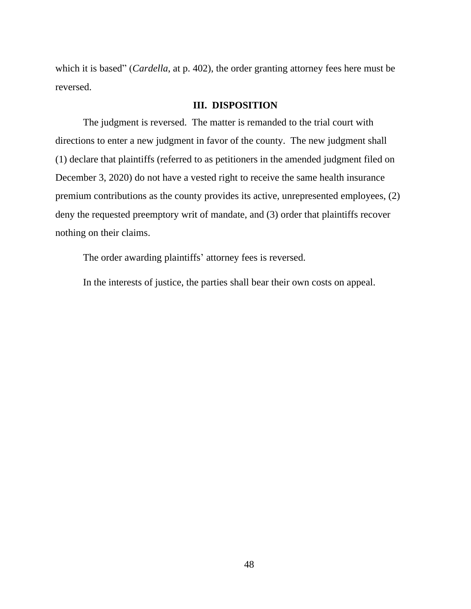which it is based" (*Cardella*, at p. 402), the order granting attorney fees here must be reversed.

#### **III. DISPOSITION**

The judgment is reversed. The matter is remanded to the trial court with directions to enter a new judgment in favor of the county. The new judgment shall (1) declare that plaintiffs (referred to as petitioners in the amended judgment filed on December 3, 2020) do not have a vested right to receive the same health insurance premium contributions as the county provides its active, unrepresented employees, (2) deny the requested preemptory writ of mandate, and (3) order that plaintiffs recover nothing on their claims.

The order awarding plaintiffs' attorney fees is reversed.

In the interests of justice, the parties shall bear their own costs on appeal.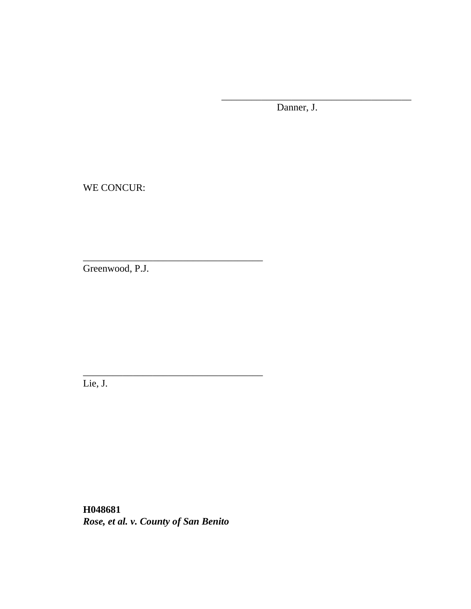Danner, J.

\_\_\_\_\_\_\_\_\_\_\_\_\_\_\_\_\_\_\_\_\_\_\_\_\_\_\_\_\_\_\_\_\_\_\_\_\_\_

WE CONCUR:

Greenwood, P.J.

\_\_\_\_\_\_\_\_\_\_\_\_\_\_\_\_\_\_\_\_\_\_\_\_\_\_\_\_\_\_\_\_\_\_\_\_

\_\_\_\_\_\_\_\_\_\_\_\_\_\_\_\_\_\_\_\_\_\_\_\_\_\_\_\_\_\_\_\_\_\_\_\_

Lie, J.

**H048681** *Rose, et al. v. County of San Benito*